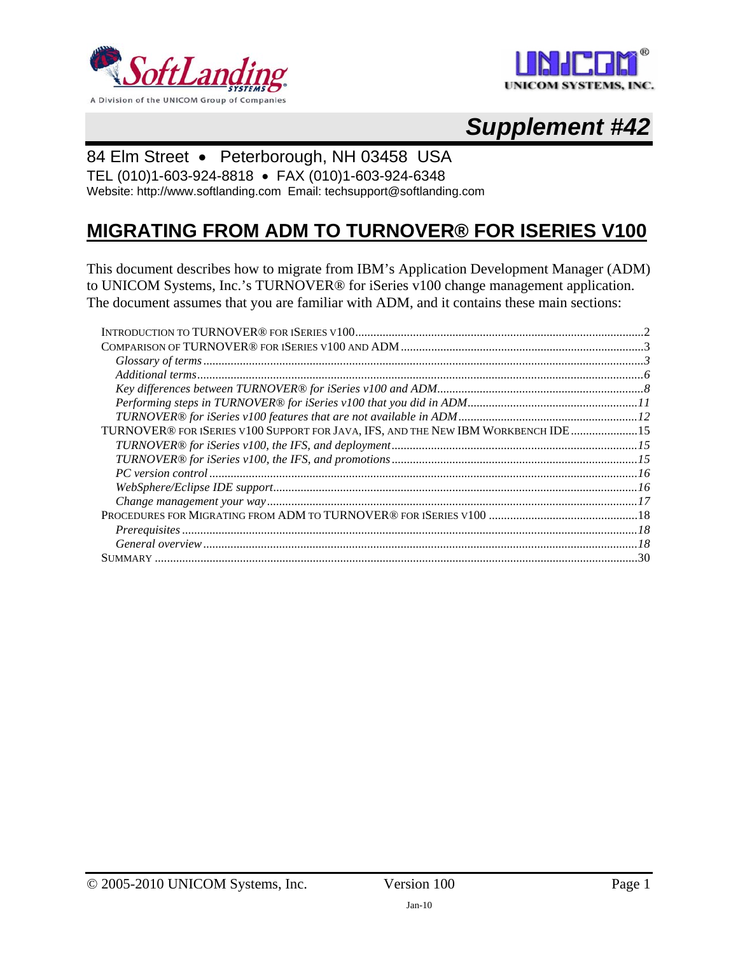



# *Supplement #42*

# 84 Elm Street • Peterborough, NH 03458 USA

TEL (010)1-603-924-8818 • FAX (010)1-603-924-6348 Website: http://www.softlanding.com Email: techsupport@softlanding.com

# **MIGRATING FROM ADM TO TURNOVER® FOR ISERIES V100**

This document describes how to migrate from IBM's Application Development Manager (ADM) to UNICOM Systems, Inc.'s TURNOVER® for iSeries v100 change management application. The document assumes that you are familiar with ADM, and it contains these main sections:

| TURNOVER® FOR ISERIES V100 SUPPORT FOR JAVA, IFS, AND THE NEW IBM WORKBENCH IDE  15 |  |
|-------------------------------------------------------------------------------------|--|
|                                                                                     |  |
|                                                                                     |  |
|                                                                                     |  |
|                                                                                     |  |
|                                                                                     |  |
|                                                                                     |  |
|                                                                                     |  |
|                                                                                     |  |
|                                                                                     |  |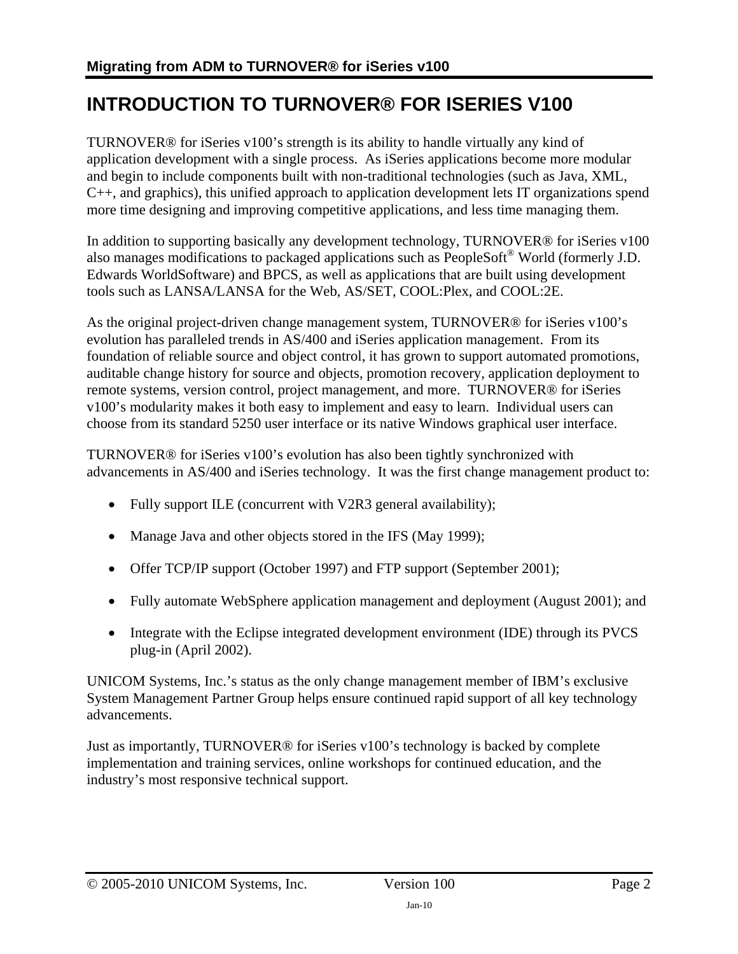# <span id="page-1-1"></span><span id="page-1-0"></span>**INTRODUCTION TO TURNOVER® FOR ISERIES V100**

TURNOVER® for iSeries v100's strength is its ability to handle virtually any kind of application development with a single process. As iSeries applications become more modular and begin to include components built with non-traditional technologies (such as Java, XML, C++, and graphics), this unified approach to application development lets IT organizations spend more time designing and improving competitive applications, and less time managing them.

In addition to supporting basically any development technology, TURNOVER® for iSeries v100 also manages modifications to packaged applications such as PeopleSoft® World (formerly J.D. Edwards WorldSoftware) and BPCS, as well as applications that are built using development tools such as LANSA/LANSA for the Web, AS/SET, COOL:Plex, and COOL:2E.

As the original project-driven change management system, TURNOVER® for iSeries v100's evolution has paralleled trends in AS/400 and iSeries application management. From its foundation of reliable source and object control, it has grown to support automated promotions, auditable change history for source and objects, promotion recovery, application deployment to remote systems, version control, project management, and more. TURNOVER® for iSeries v100's modularity makes it both easy to implement and easy to learn. Individual users can choose from its standard 5250 user interface or its native Windows graphical user interface.

TURNOVER® for iSeries v100's evolution has also been tightly synchronized with advancements in AS/400 and iSeries technology. It was the first change management product to:

- Fully support ILE (concurrent with V2R3 general availability);
- Manage Java and other objects stored in the IFS (May 1999);
- Offer TCP/IP support (October 1997) and FTP support (September 2001);
- Fully automate WebSphere application management and deployment (August 2001); and
- Integrate with the Eclipse integrated development environment (IDE) through its PVCS plug-in (April 2002).

UNICOM Systems, Inc.'s status as the only change management member of IBM's exclusive System Management Partner Group helps ensure continued rapid support of all key technology advancements.

Just as importantly, TURNOVER® for iSeries v100's technology is backed by complete implementation and training services, online workshops for continued education, and the industry's most responsive technical support.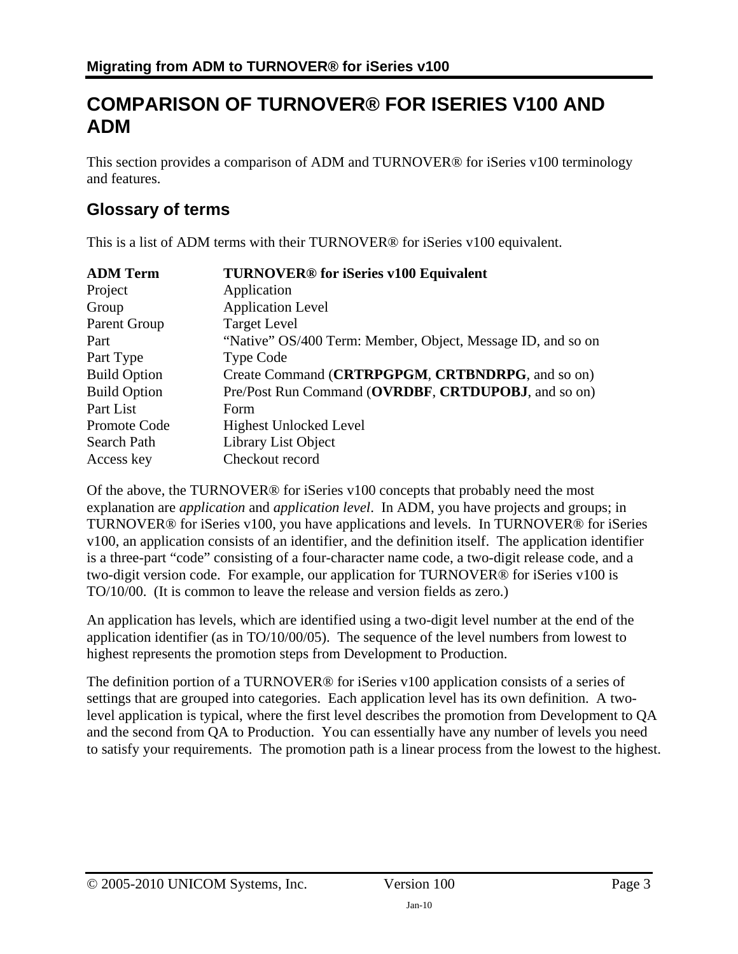# <span id="page-2-1"></span><span id="page-2-0"></span>**COMPARISON OF TURNOVER® FOR ISERIES V100 AND ADM**

This section provides a comparison of ADM and TURNOVER® for iSeries v100 terminology and features.

# <span id="page-2-2"></span>**Glossary of terms**

This is a list of ADM terms with their TURNOVER® for iSeries v100 equivalent.

| <b>ADM Term</b>     | <b>TURNOVER®</b> for iSeries v100 Equivalent                |  |
|---------------------|-------------------------------------------------------------|--|
| Project             | Application                                                 |  |
| Group               | <b>Application Level</b>                                    |  |
| Parent Group        | <b>Target Level</b>                                         |  |
| Part                | "Native" OS/400 Term: Member, Object, Message ID, and so on |  |
| Part Type           | <b>Type Code</b>                                            |  |
| <b>Build Option</b> | Create Command (CRTRPGPGM, CRTBNDRPG, and so on)            |  |
| <b>Build Option</b> | Pre/Post Run Command (OVRDBF, CRTDUPOBJ, and so on)         |  |
| Part List           | Form                                                        |  |
| Promote Code        | <b>Highest Unlocked Level</b>                               |  |
| Search Path         | Library List Object                                         |  |
| Access key          | Checkout record                                             |  |

Of the above, the TURNOVER® for iSeries v100 concepts that probably need the most explanation are *application* and *application level*. In ADM, you have projects and groups; in TURNOVER® for iSeries v100, you have applications and levels. In TURNOVER® for iSeries v100, an application consists of an identifier, and the definition itself. The application identifier is a three-part "code" consisting of a four-character name code, a two-digit release code, and a two-digit version code. For example, our application for TURNOVER® for iSeries v100 is TO/10/00. (It is common to leave the release and version fields as zero.)

An application has levels, which are identified using a two-digit level number at the end of the application identifier (as in TO/10/00/05). The sequence of the level numbers from lowest to highest represents the promotion steps from Development to Production.

The definition portion of a TURNOVER® for iSeries v100 application consists of a series of settings that are grouped into categories. Each application level has its own definition. A twolevel application is typical, where the first level describes the promotion from Development to QA and the second from QA to Production. You can essentially have any number of levels you need to satisfy your requirements. The promotion path is a linear process from the lowest to the highest.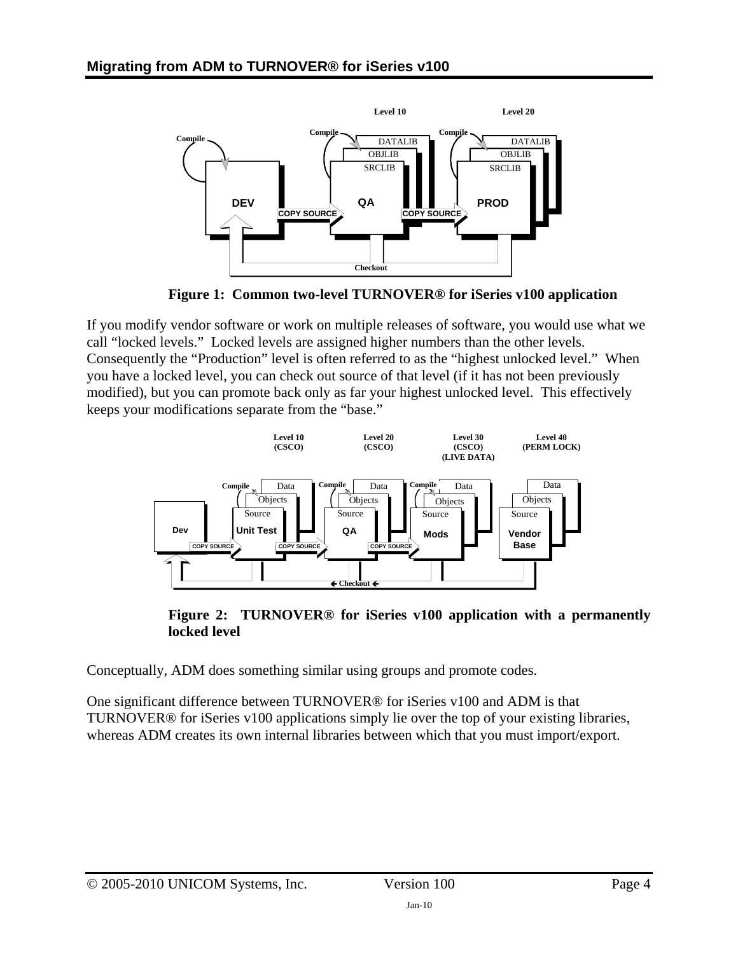

**Figure 1: Common two-level TURNOVER® for iSeries v100 application** 

<span id="page-3-0"></span>If you modify vendor software or work on multiple releases of software, you would use what we call "locked levels." Locked levels are assigned higher numbers than the other levels. Consequently the "Production" level is often referred to as the "highest unlocked level." When you have a locked level, you can check out source of that level (if it has not been previously modified), but you can promote back only as far your highest unlocked level. This effectively keeps your modifications separate from the "base."



**Figure 2: TURNOVER® for iSeries v100 application with a permanently locked level** 

Conceptually, ADM does something similar using groups and promote codes.

One significant difference between TURNOVER® for iSeries v100 and ADM is that TURNOVER® for iSeries v100 applications simply lie over the top of your existing libraries, whereas ADM creates its own internal libraries between which that you must import/export.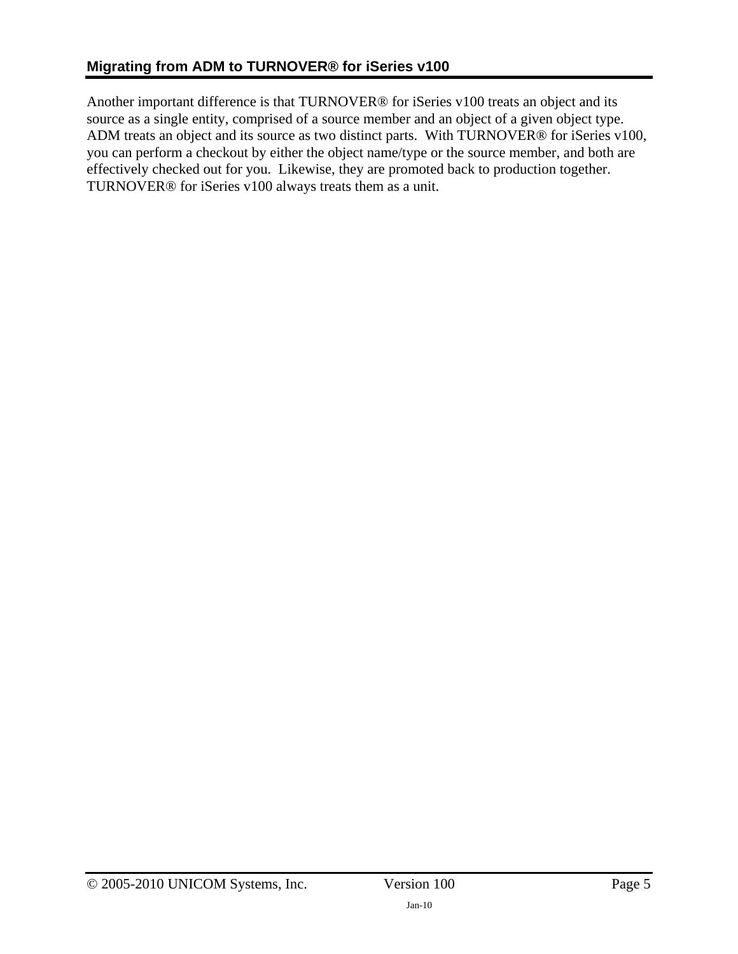Another important difference is that TURNOVER® for iSeries v100 treats an object and its source as a single entity, comprised of a source member and an object of a given object type. ADM treats an object and its source as two distinct parts. With TURNOVER® for iSeries v100, you can perform a checkout by either the object name/type or the source member, and both are effectively checked out for you. Likewise, they are promoted back to production together. TURNOVER® for iSeries v100 always treats them as a unit.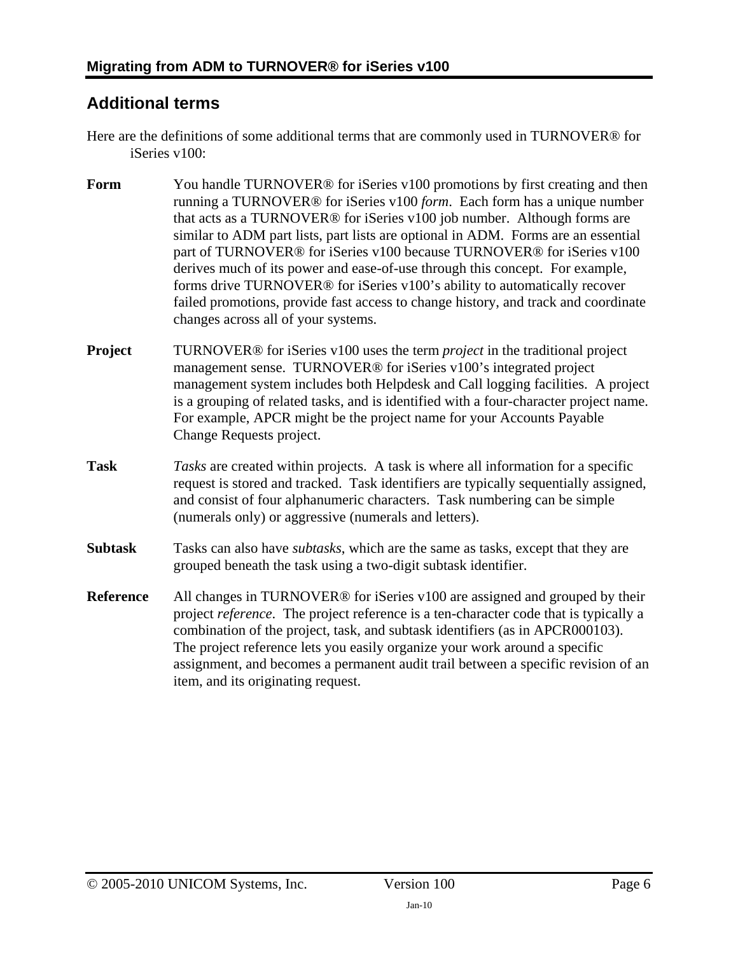# <span id="page-5-1"></span><span id="page-5-0"></span>**Additional terms**

- Here are the definitions of some additional terms that are commonly used in TURNOVER® for iSeries v100:
- **Form** You handle TURNOVER<sup>®</sup> for iSeries v100 promotions by first creating and then running a TURNOVER® for iSeries v100 *form*. Each form has a unique number that acts as a TURNOVER® for iSeries v100 job number. Although forms are similar to ADM part lists, part lists are optional in ADM. Forms are an essential part of TURNOVER® for iSeries v100 because TURNOVER® for iSeries v100 derives much of its power and ease-of-use through this concept. For example, forms drive TURNOVER® for iSeries v100's ability to automatically recover failed promotions, provide fast access to change history, and track and coordinate changes across all of your systems.
- **Project** TURNOVER<sup>®</sup> for iSeries v100 uses the term *project* in the traditional project management sense. TURNOVER® for iSeries v100's integrated project management system includes both Helpdesk and Call logging facilities. A project is a grouping of related tasks, and is identified with a four-character project name. For example, APCR might be the project name for your Accounts Payable Change Requests project.
- **Task** *Tasks* are created within projects. A task is where all information for a specific request is stored and tracked. Task identifiers are typically sequentially assigned, and consist of four alphanumeric characters. Task numbering can be simple (numerals only) or aggressive (numerals and letters).
- **Subtask** Tasks can also have *subtasks*, which are the same as tasks, except that they are grouped beneath the task using a two-digit subtask identifier.
- **Reference** All changes in TURNOVER<sup>®</sup> for iSeries v100 are assigned and grouped by their project *reference*. The project reference is a ten-character code that is typically a combination of the project, task, and subtask identifiers (as in APCR000103). The project reference lets you easily organize your work around a specific assignment, and becomes a permanent audit trail between a specific revision of an item, and its originating request.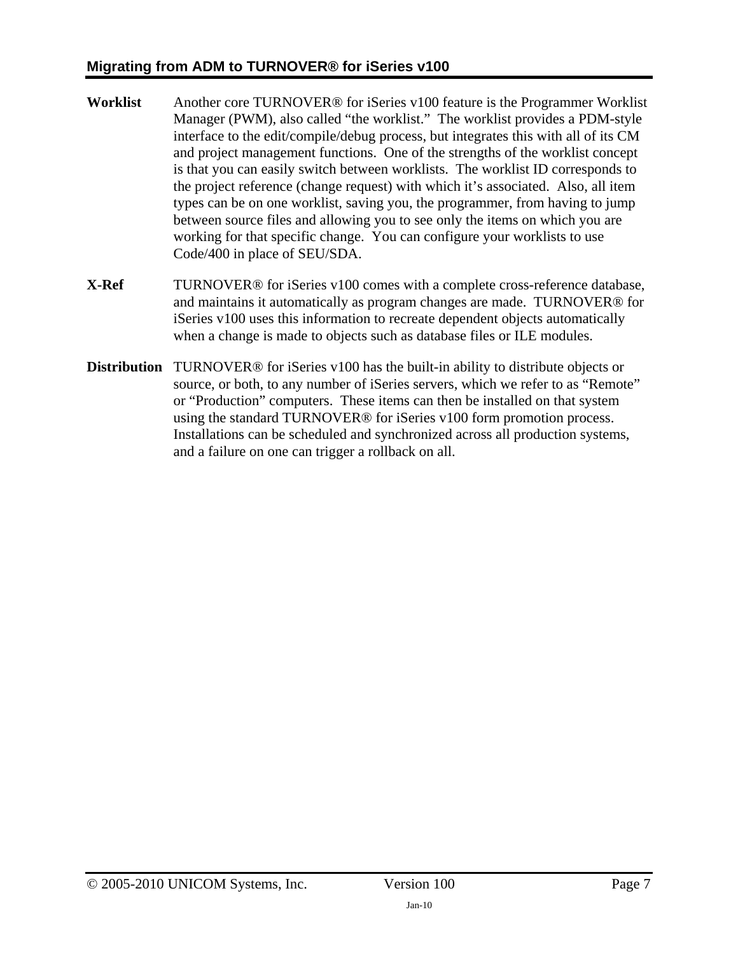- **Worklist** Another core TURNOVER® for iSeries v100 feature is the Programmer Worklist Manager (PWM), also called "the worklist." The worklist provides a PDM-style interface to the edit/compile/debug process, but integrates this with all of its CM and project management functions. One of the strengths of the worklist concept is that you can easily switch between worklists. The worklist ID corresponds to the project reference (change request) with which it's associated. Also, all item types can be on one worklist, saving you, the programmer, from having to jump between source files and allowing you to see only the items on which you are working for that specific change. You can configure your worklists to use Code/400 in place of SEU/SDA.
- **X-Ref** TURNOVER<sup>®</sup> for iSeries v100 comes with a complete cross-reference database, and maintains it automatically as program changes are made. TURNOVER® for iSeries v100 uses this information to recreate dependent objects automatically when a change is made to objects such as database files or ILE modules.
- **Distribution** TURNOVER® for iSeries v100 has the built-in ability to distribute objects or source, or both, to any number of iSeries servers, which we refer to as "Remote" or "Production" computers. These items can then be installed on that system using the standard TURNOVER® for iSeries v100 form promotion process. Installations can be scheduled and synchronized across all production systems, and a failure on one can trigger a rollback on all.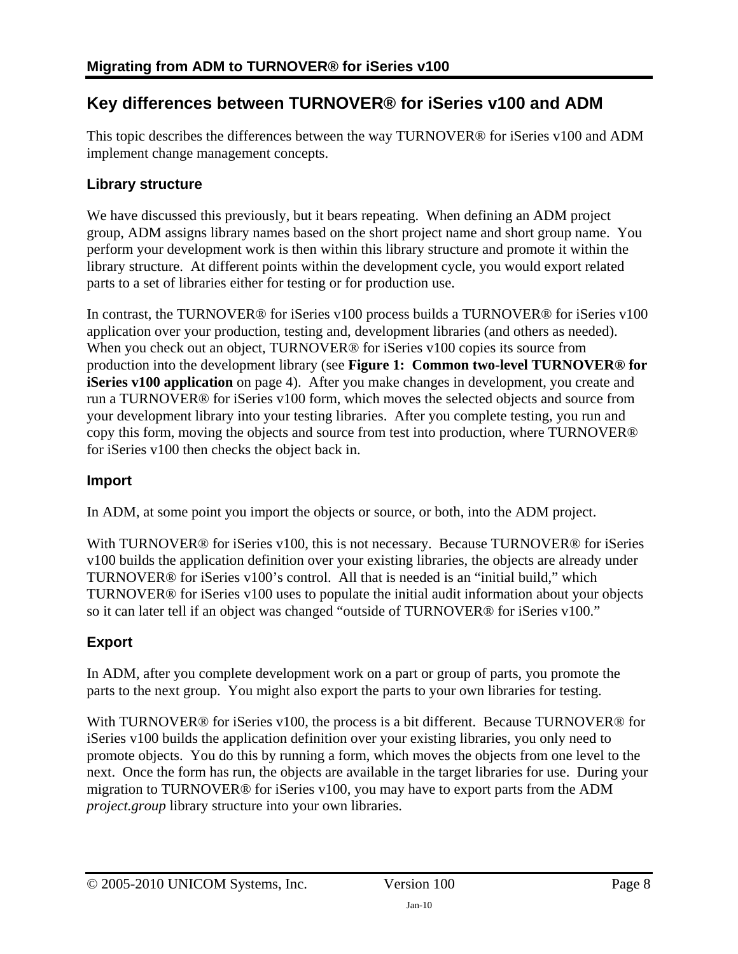# <span id="page-7-1"></span><span id="page-7-0"></span>**Key differences between TURNOVER® for iSeries v100 and ADM**

This topic describes the differences between the way TURNOVER® for iSeries v100 and ADM implement change management concepts.

### **Library structure**

We have discussed this previously, but it bears repeating. When defining an ADM project group, ADM assigns library names based on the short project name and short group name. You perform your development work is then within this library structure and promote it within the library structure. At different points within the development cycle, you would export related parts to a set of libraries either for testing or for production use.

In contrast, the TURNOVER® for iSeries v100 process builds a TURNOVER® for iSeries v100 application over your production, testing and, development libraries (and others as needed). When you check out an object, TURNOVER<sup>®</sup> for iSeries v100 copies its source from production into the development library (see **[Figure 1: Common two-level TURNOVER® for](#page-3-0)  [iSeries v100 application](#page-3-0)** on page [4](#page-3-0)). After you make changes in development, you create and run a TURNOVER® for iSeries v100 form, which moves the selected objects and source from your development library into your testing libraries. After you complete testing, you run and copy this form, moving the objects and source from test into production, where TURNOVER® for iSeries v100 then checks the object back in.

### **Import**

In ADM, at some point you import the objects or source, or both, into the ADM project.

With TURNOVER<sup>®</sup> for iSeries v100, this is not necessary. Because TURNOVER<sup>®</sup> for iSeries v100 builds the application definition over your existing libraries, the objects are already under TURNOVER® for iSeries v100's control. All that is needed is an "initial build," which TURNOVER® for iSeries v100 uses to populate the initial audit information about your objects so it can later tell if an object was changed "outside of TURNOVER® for iSeries v100."

## **Export**

In ADM, after you complete development work on a part or group of parts, you promote the parts to the next group. You might also export the parts to your own libraries for testing.

With TURNOVER<sup>®</sup> for iSeries v100, the process is a bit different. Because TURNOVER<sup>®</sup> for iSeries v100 builds the application definition over your existing libraries, you only need to promote objects. You do this by running a form, which moves the objects from one level to the next. Once the form has run, the objects are available in the target libraries for use. During your migration to TURNOVER® for iSeries v100, you may have to export parts from the ADM *project.group* library structure into your own libraries.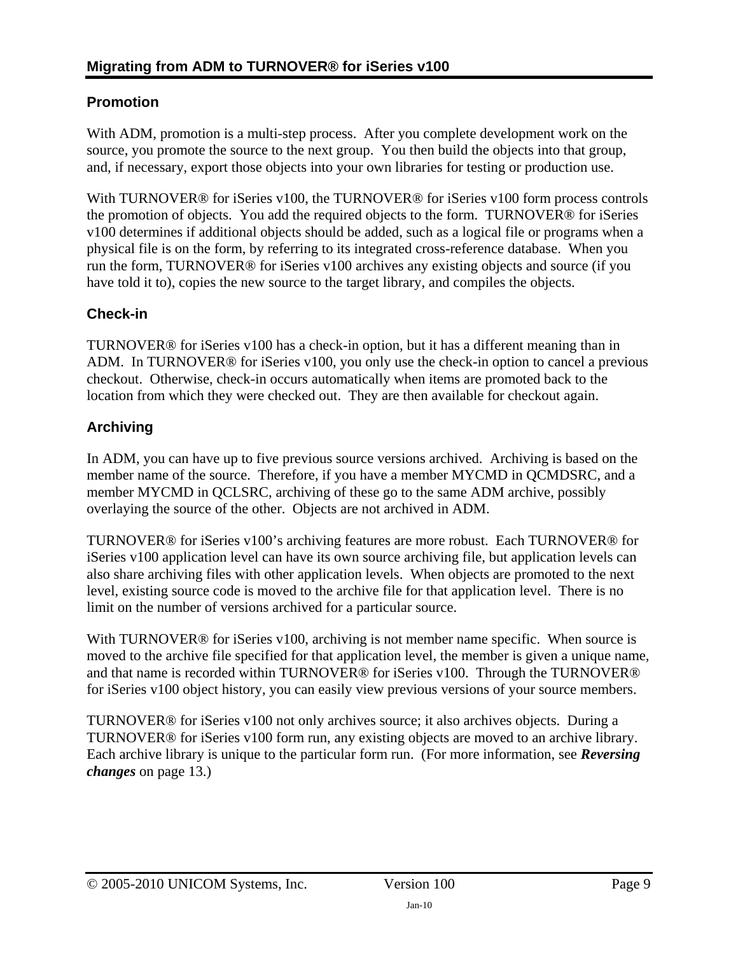### **Promotion**

With ADM, promotion is a multi-step process. After you complete development work on the source, you promote the source to the next group. You then build the objects into that group, and, if necessary, export those objects into your own libraries for testing or production use.

With TURNOVER® for iSeries v100, the TURNOVER® for iSeries v100 form process controls the promotion of objects. You add the required objects to the form. TURNOVER® for iSeries v100 determines if additional objects should be added, such as a logical file or programs when a physical file is on the form, by referring to its integrated cross-reference database. When you run the form, TURNOVER® for iSeries v100 archives any existing objects and source (if you have told it to), copies the new source to the target library, and compiles the objects.

### **Check-in**

TURNOVER® for iSeries v100 has a check-in option, but it has a different meaning than in ADM. In TURNOVER® for iSeries v100, you only use the check-in option to cancel a previous checkout. Otherwise, check-in occurs automatically when items are promoted back to the location from which they were checked out. They are then available for checkout again.

### **Archiving**

In ADM, you can have up to five previous source versions archived. Archiving is based on the member name of the source. Therefore, if you have a member MYCMD in QCMDSRC, and a member MYCMD in QCLSRC, archiving of these go to the same ADM archive, possibly overlaying the source of the other. Objects are not archived in ADM.

TURNOVER® for iSeries v100's archiving features are more robust. Each TURNOVER® for iSeries v100 application level can have its own source archiving file, but application levels can also share archiving files with other application levels. When objects are promoted to the next level, existing source code is moved to the archive file for that application level. There is no limit on the number of versions archived for a particular source.

With TURNOVER<sup>®</sup> for iSeries v100, archiving is not member name specific. When source is moved to the archive file specified for that application level, the member is given a unique name, and that name is recorded within TURNOVER® for iSeries v100. Through the TURNOVER® for iSeries v100 object history, you can easily view previous versions of your source members.

TURNOVER® for iSeries v100 not only archives source; it also archives objects. During a TURNOVER® for iSeries v100 form run, any existing objects are moved to an archive library. Each archive library is unique to the particular form run. (For more information, see *[Reversing](#page-12-0)  [changes](#page-12-0)* on page [13](#page-12-0).)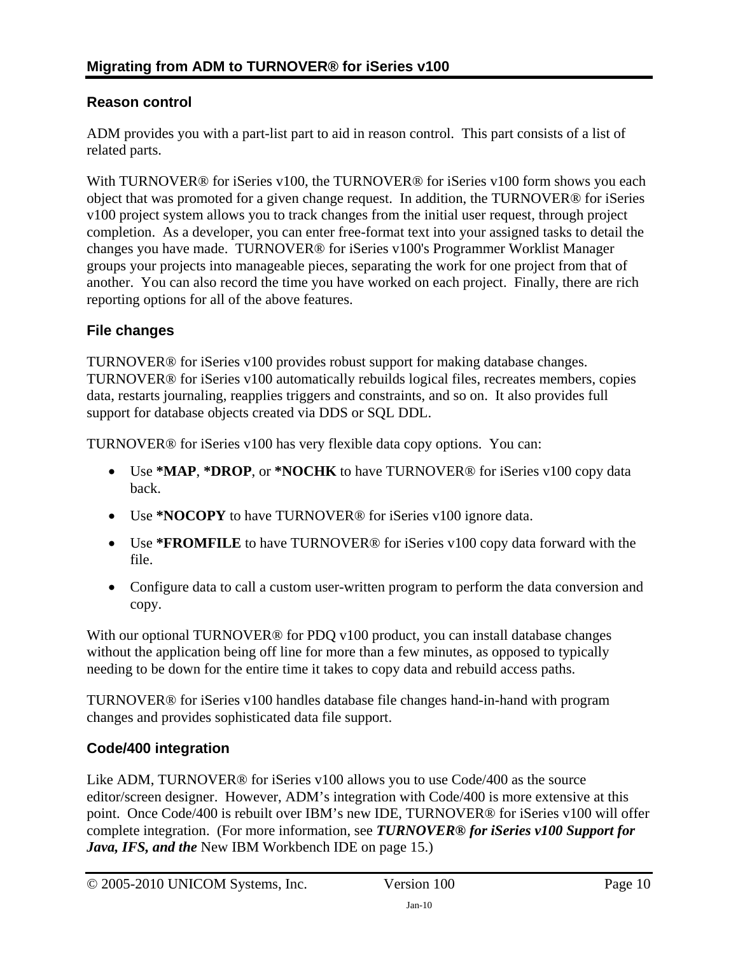### **Reason control**

ADM provides you with a part-list part to aid in reason control. This part consists of a list of related parts.

With TURNOVER<sup>®</sup> for iSeries v100, the TURNOVER<sup>®</sup> for iSeries v100 form shows you each object that was promoted for a given change request. In addition, the TURNOVER® for iSeries v100 project system allows you to track changes from the initial user request, through project completion. As a developer, you can enter free-format text into your assigned tasks to detail the changes you have made. TURNOVER® for iSeries v100's Programmer Worklist Manager groups your projects into manageable pieces, separating the work for one project from that of another. You can also record the time you have worked on each project. Finally, there are rich reporting options for all of the above features.

#### **File changes**

TURNOVER® for iSeries v100 provides robust support for making database changes. TURNOVER® for iSeries v100 automatically rebuilds logical files, recreates members, copies data, restarts journaling, reapplies triggers and constraints, and so on. It also provides full support for database objects created via DDS or SQL DDL.

TURNOVER® for iSeries v100 has very flexible data copy options. You can:

- Use **\*MAP**, **\*DROP**, or **\*NOCHK** to have TURNOVER® for iSeries v100 copy data back.
- Use **\*NOCOPY** to have TURNOVER® for iSeries v100 ignore data.
- Use **\*FROMFILE** to have TURNOVER® for iSeries v100 copy data forward with the file.
- Configure data to call a custom user-written program to perform the data conversion and copy.

With our optional TURNOVER<sup>®</sup> for PDQ v100 product, you can install database changes without the application being off line for more than a few minutes, as opposed to typically needing to be down for the entire time it takes to copy data and rebuild access paths.

TURNOVER® for iSeries v100 handles database file changes hand-in-hand with program changes and provides sophisticated data file support.

### **Code/400 integration**

Like ADM, TURNOVER® for iSeries v100 allows you to use Code/400 as the source editor/screen designer. However, ADM's integration with Code/400 is more extensive at this point. Once Code/400 is rebuilt over IBM's new IDE, TURNOVER® for iSeries v100 will offer complete integration. (For more information, see *[TURNOVER® for iSeries v100 Support for](#page-14-1)  Java, IFS, and the* [New IBM Workbench IDE](#page-14-1) on page [15.](#page-14-1))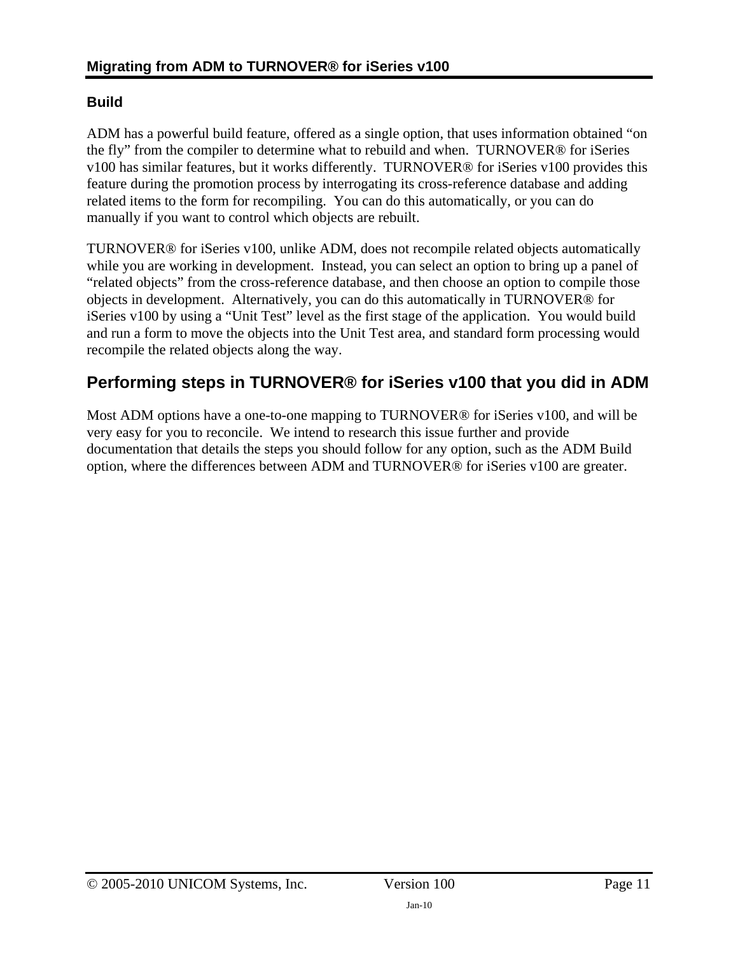### <span id="page-10-0"></span>**Build**

ADM has a powerful build feature, offered as a single option, that uses information obtained "on the fly" from the compiler to determine what to rebuild and when. TURNOVER® for iSeries v100 has similar features, but it works differently. TURNOVER® for iSeries v100 provides this feature during the promotion process by interrogating its cross-reference database and adding related items to the form for recompiling. You can do this automatically, or you can do manually if you want to control which objects are rebuilt.

TURNOVER® for iSeries v100, unlike ADM, does not recompile related objects automatically while you are working in development. Instead, you can select an option to bring up a panel of "related objects" from the cross-reference database, and then choose an option to compile those objects in development. Alternatively, you can do this automatically in TURNOVER® for iSeries v100 by using a "Unit Test" level as the first stage of the application. You would build and run a form to move the objects into the Unit Test area, and standard form processing would recompile the related objects along the way.

# <span id="page-10-1"></span>**Performing steps in TURNOVER® for iSeries v100 that you did in ADM**

Most ADM options have a one-to-one mapping to TURNOVER® for iSeries v100, and will be very easy for you to reconcile. We intend to research this issue further and provide documentation that details the steps you should follow for any option, such as the ADM Build option, where the differences between ADM and TURNOVER® for iSeries v100 are greater.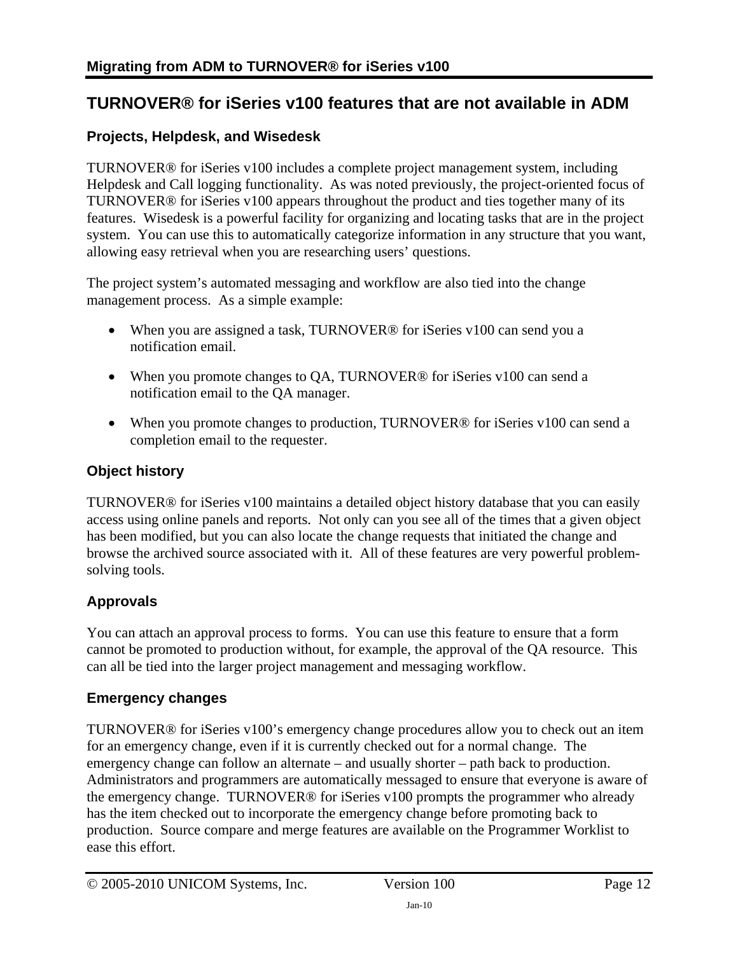# <span id="page-11-1"></span><span id="page-11-0"></span>**TURNOVER® for iSeries v100 features that are not available in ADM**

#### **Projects, Helpdesk, and Wisedesk**

TURNOVER® for iSeries v100 includes a complete project management system, including Helpdesk and Call logging functionality. As was noted previously, the project-oriented focus of TURNOVER® for iSeries v100 appears throughout the product and ties together many of its features. Wisedesk is a powerful facility for organizing and locating tasks that are in the project system. You can use this to automatically categorize information in any structure that you want, allowing easy retrieval when you are researching users' questions.

The project system's automated messaging and workflow are also tied into the change management process. As a simple example:

- When you are assigned a task, TURNOVER® for iSeries v100 can send you a notification email.
- When you promote changes to QA, TURNOVER<sup>®</sup> for iSeries v100 can send a notification email to the QA manager.
- When you promote changes to production, TURNOVER® for iSeries v100 can send a completion email to the requester.

#### **Object history**

TURNOVER® for iSeries v100 maintains a detailed object history database that you can easily access using online panels and reports. Not only can you see all of the times that a given object has been modified, but you can also locate the change requests that initiated the change and browse the archived source associated with it. All of these features are very powerful problemsolving tools.

## **Approvals**

You can attach an approval process to forms. You can use this feature to ensure that a form cannot be promoted to production without, for example, the approval of the QA resource. This can all be tied into the larger project management and messaging workflow.

#### **Emergency changes**

TURNOVER® for iSeries v100's emergency change procedures allow you to check out an item for an emergency change, even if it is currently checked out for a normal change. The emergency change can follow an alternate – and usually shorter – path back to production. Administrators and programmers are automatically messaged to ensure that everyone is aware of the emergency change. TURNOVER® for iSeries v100 prompts the programmer who already has the item checked out to incorporate the emergency change before promoting back to production. Source compare and merge features are available on the Programmer Worklist to ease this effort.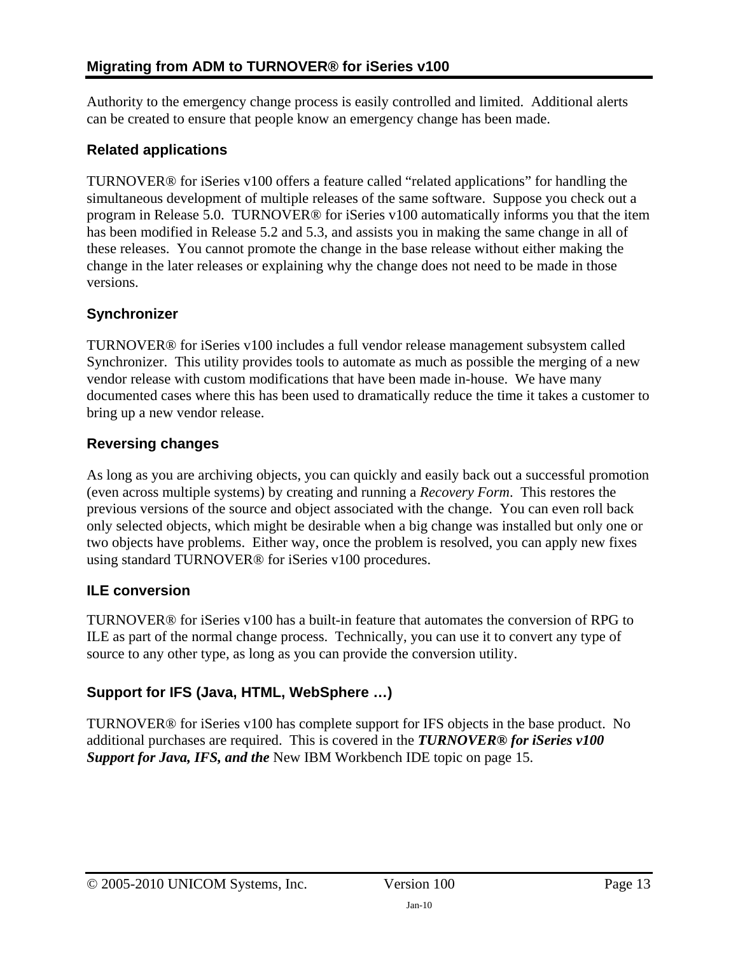Authority to the emergency change process is easily controlled and limited. Additional alerts can be created to ensure that people know an emergency change has been made.

### **Related applications**

TURNOVER® for iSeries v100 offers a feature called "related applications" for handling the simultaneous development of multiple releases of the same software. Suppose you check out a program in Release 5.0. TURNOVER® for iSeries v100 automatically informs you that the item has been modified in Release 5.2 and 5.3, and assists you in making the same change in all of these releases. You cannot promote the change in the base release without either making the change in the later releases or explaining why the change does not need to be made in those versions.

### **Synchronizer**

TURNOVER® for iSeries v100 includes a full vendor release management subsystem called Synchronizer. This utility provides tools to automate as much as possible the merging of a new vendor release with custom modifications that have been made in-house. We have many documented cases where this has been used to dramatically reduce the time it takes a customer to bring up a new vendor release.

## <span id="page-12-0"></span>**Reversing changes**

As long as you are archiving objects, you can quickly and easily back out a successful promotion (even across multiple systems) by creating and running a *Recovery Form*. This restores the previous versions of the source and object associated with the change. You can even roll back only selected objects, which might be desirable when a big change was installed but only one or two objects have problems. Either way, once the problem is resolved, you can apply new fixes using standard TURNOVER® for iSeries v100 procedures.

# **ILE conversion**

TURNOVER® for iSeries v100 has a built-in feature that automates the conversion of RPG to ILE as part of the normal change process. Technically, you can use it to convert any type of source to any other type, as long as you can provide the conversion utility.

# **Support for IFS (Java, HTML, WebSphere …)**

TURNOVER® for iSeries v100 has complete support for IFS objects in the base product. No additional purchases are required. This is covered in the *[TURNOVER® for iSeries v100](#page-14-1)  [Support for Java, IFS, and the](#page-14-1)* New IBM Workbench IDE topic on page [15.](#page-14-1)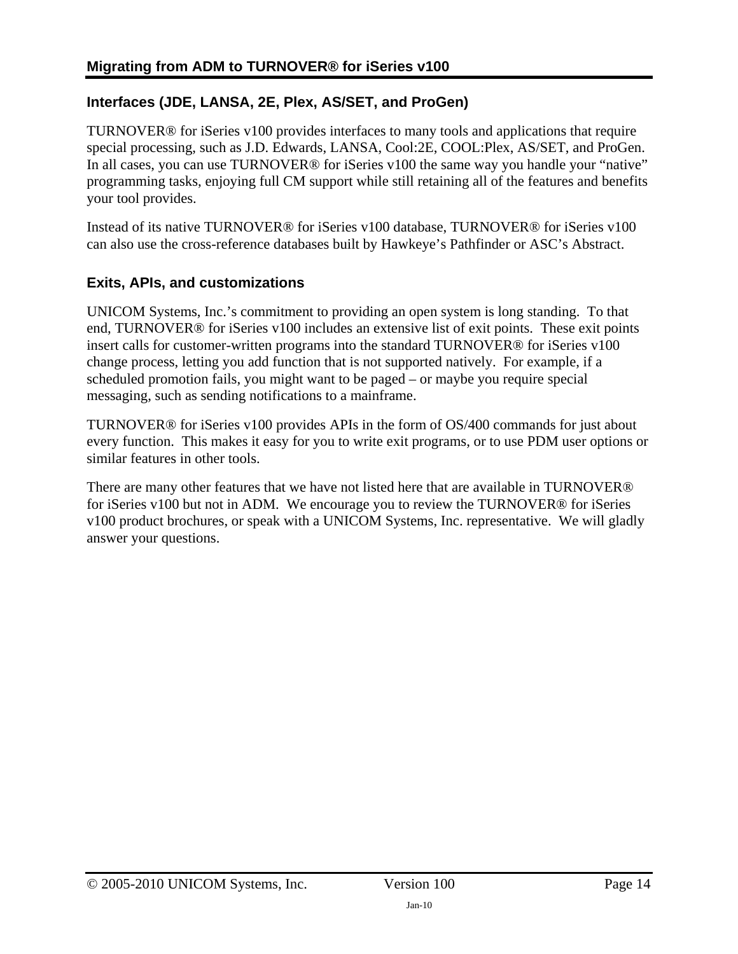## **Interfaces (JDE, LANSA, 2E, Plex, AS/SET, and ProGen)**

TURNOVER® for iSeries v100 provides interfaces to many tools and applications that require special processing, such as J.D. Edwards, LANSA, Cool:2E, COOL:Plex, AS/SET, and ProGen. In all cases, you can use TURNOVER® for iSeries v100 the same way you handle your "native" programming tasks, enjoying full CM support while still retaining all of the features and benefits your tool provides.

Instead of its native TURNOVER® for iSeries v100 database, TURNOVER® for iSeries v100 can also use the cross-reference databases built by Hawkeye's Pathfinder or ASC's Abstract.

### **Exits, APIs, and customizations**

UNICOM Systems, Inc.'s commitment to providing an open system is long standing. To that end, TURNOVER® for iSeries v100 includes an extensive list of exit points. These exit points insert calls for customer-written programs into the standard TURNOVER® for iSeries v100 change process, letting you add function that is not supported natively. For example, if a scheduled promotion fails, you might want to be paged – or maybe you require special messaging, such as sending notifications to a mainframe.

TURNOVER® for iSeries v100 provides APIs in the form of OS/400 commands for just about every function. This makes it easy for you to write exit programs, or to use PDM user options or similar features in other tools.

There are many other features that we have not listed here that are available in TURNOVER® for iSeries v100 but not in ADM. We encourage you to review the TURNOVER® for iSeries v100 product brochures, or speak with a UNICOM Systems, Inc. representative. We will gladly answer your questions.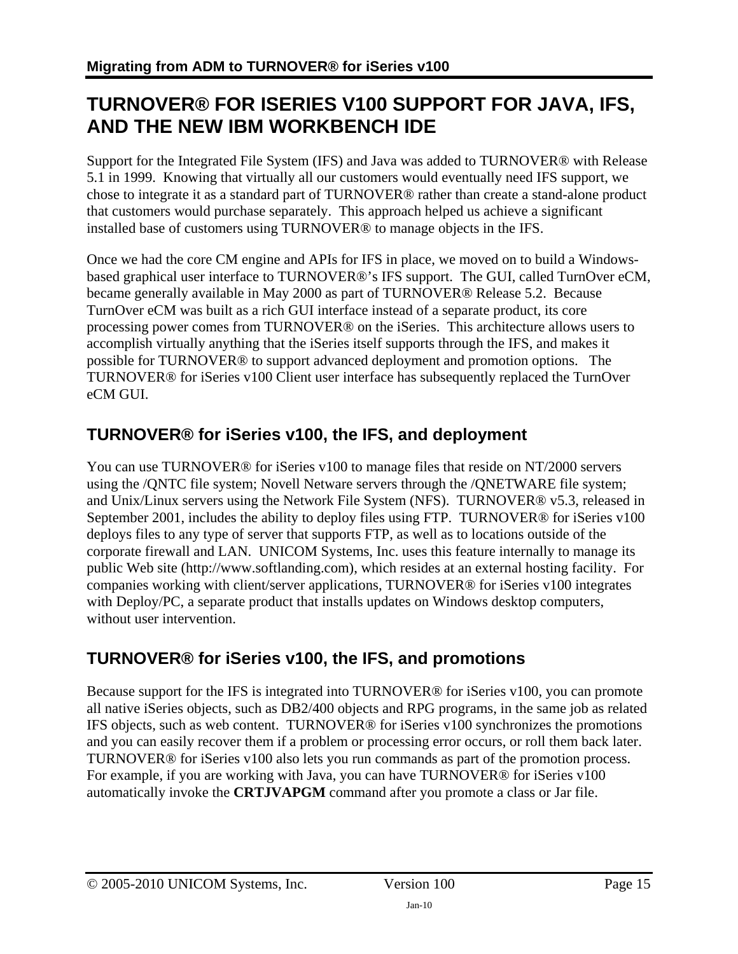# <span id="page-14-1"></span><span id="page-14-0"></span>**TURNOVER® FOR ISERIES V100 SUPPORT FOR JAVA, IFS, AND THE NEW IBM WORKBENCH IDE**

Support for the Integrated File System (IFS) and Java was added to TURNOVER® with Release 5.1 in 1999. Knowing that virtually all our customers would eventually need IFS support, we chose to integrate it as a standard part of TURNOVER® rather than create a stand-alone product that customers would purchase separately. This approach helped us achieve a significant installed base of customers using TURNOVER® to manage objects in the IFS.

Once we had the core CM engine and APIs for IFS in place, we moved on to build a Windowsbased graphical user interface to TURNOVER®'s IFS support. The GUI, called TurnOver eCM, became generally available in May 2000 as part of TURNOVER® Release 5.2. Because TurnOver eCM was built as a rich GUI interface instead of a separate product, its core processing power comes from TURNOVER® on the iSeries. This architecture allows users to accomplish virtually anything that the iSeries itself supports through the IFS, and makes it possible for TURNOVER® to support advanced deployment and promotion options. The TURNOVER® for iSeries v100 Client user interface has subsequently replaced the TurnOver eCM GUI.

# <span id="page-14-2"></span>**TURNOVER® for iSeries v100, the IFS, and deployment**

You can use TURNOVER® for iSeries v100 to manage files that reside on NT/2000 servers using the /QNTC file system; Novell Netware servers through the /QNETWARE file system; and Unix/Linux servers using the Network File System (NFS). TURNOVER® v5.3, released in September 2001, includes the ability to deploy files using FTP. TURNOVER® for iSeries v100 deploys files to any type of server that supports FTP, as well as to locations outside of the corporate firewall and LAN. UNICOM Systems, Inc. uses this feature internally to manage its public Web site (http://www.softlanding.com), which resides at an external hosting facility. For companies working with client/server applications, TURNOVER® for iSeries v100 integrates with Deploy/PC, a separate product that installs updates on Windows desktop computers, without user intervention.

# <span id="page-14-3"></span>**TURNOVER® for iSeries v100, the IFS, and promotions**

Because support for the IFS is integrated into TURNOVER® for iSeries v100, you can promote all native iSeries objects, such as DB2/400 objects and RPG programs, in the same job as related IFS objects, such as web content. TURNOVER® for iSeries v100 synchronizes the promotions and you can easily recover them if a problem or processing error occurs, or roll them back later. TURNOVER® for iSeries v100 also lets you run commands as part of the promotion process. For example, if you are working with Java, you can have TURNOVER® for iSeries v100 automatically invoke the **CRTJVAPGM** command after you promote a class or Jar file.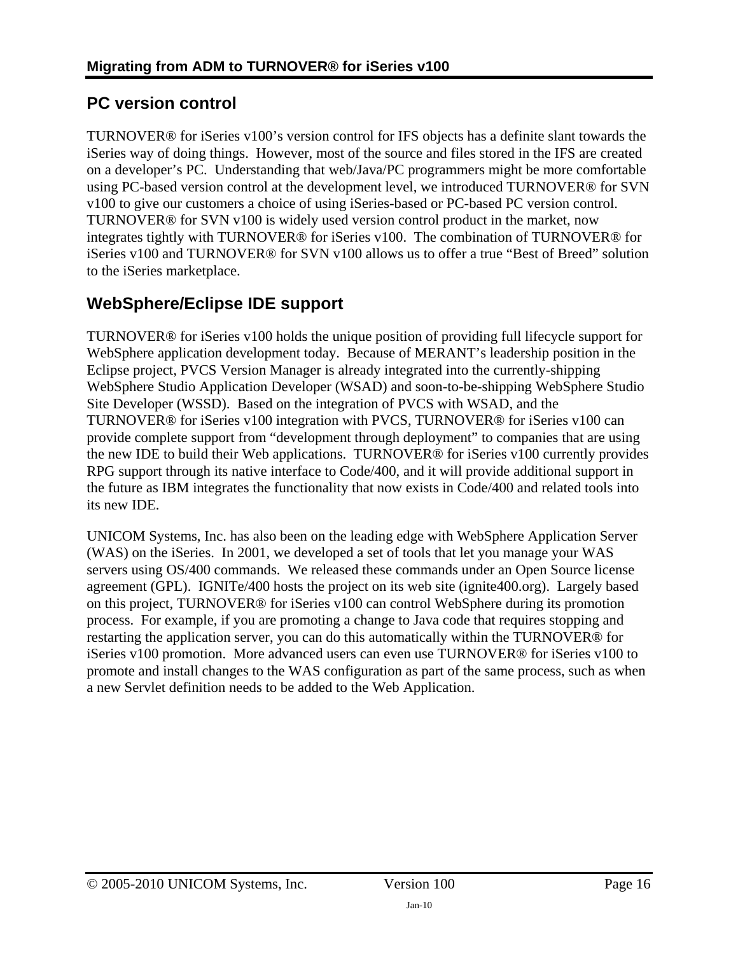# <span id="page-15-1"></span><span id="page-15-0"></span>**PC version control**

TURNOVER® for iSeries v100's version control for IFS objects has a definite slant towards the iSeries way of doing things. However, most of the source and files stored in the IFS are created on a developer's PC. Understanding that web/Java/PC programmers might be more comfortable using PC-based version control at the development level, we introduced TURNOVER® for SVN v100 to give our customers a choice of using iSeries-based or PC-based PC version control. TURNOVER® for SVN v100 is widely used version control product in the market, now integrates tightly with TURNOVER® for iSeries v100. The combination of TURNOVER® for iSeries v100 and TURNOVER® for SVN v100 allows us to offer a true "Best of Breed" solution to the iSeries marketplace.

# <span id="page-15-2"></span>**WebSphere/Eclipse IDE support**

TURNOVER® for iSeries v100 holds the unique position of providing full lifecycle support for WebSphere application development today. Because of MERANT's leadership position in the Eclipse project, PVCS Version Manager is already integrated into the currently-shipping WebSphere Studio Application Developer (WSAD) and soon-to-be-shipping WebSphere Studio Site Developer (WSSD). Based on the integration of PVCS with WSAD, and the TURNOVER® for iSeries v100 integration with PVCS, TURNOVER® for iSeries v100 can provide complete support from "development through deployment" to companies that are using the new IDE to build their Web applications. TURNOVER® for iSeries v100 currently provides RPG support through its native interface to Code/400, and it will provide additional support in the future as IBM integrates the functionality that now exists in Code/400 and related tools into its new IDE.

UNICOM Systems, Inc. has also been on the leading edge with WebSphere Application Server (WAS) on the iSeries. In 2001, we developed a set of tools that let you manage your WAS servers using OS/400 commands. We released these commands under an Open Source license agreement (GPL). IGNITe/400 hosts the project on its web site (ignite400.org). Largely based on this project, TURNOVER® for iSeries v100 can control WebSphere during its promotion process. For example, if you are promoting a change to Java code that requires stopping and restarting the application server, you can do this automatically within the TURNOVER® for iSeries v100 promotion. More advanced users can even use TURNOVER® for iSeries v100 to promote and install changes to the WAS configuration as part of the same process, such as when a new Servlet definition needs to be added to the Web Application.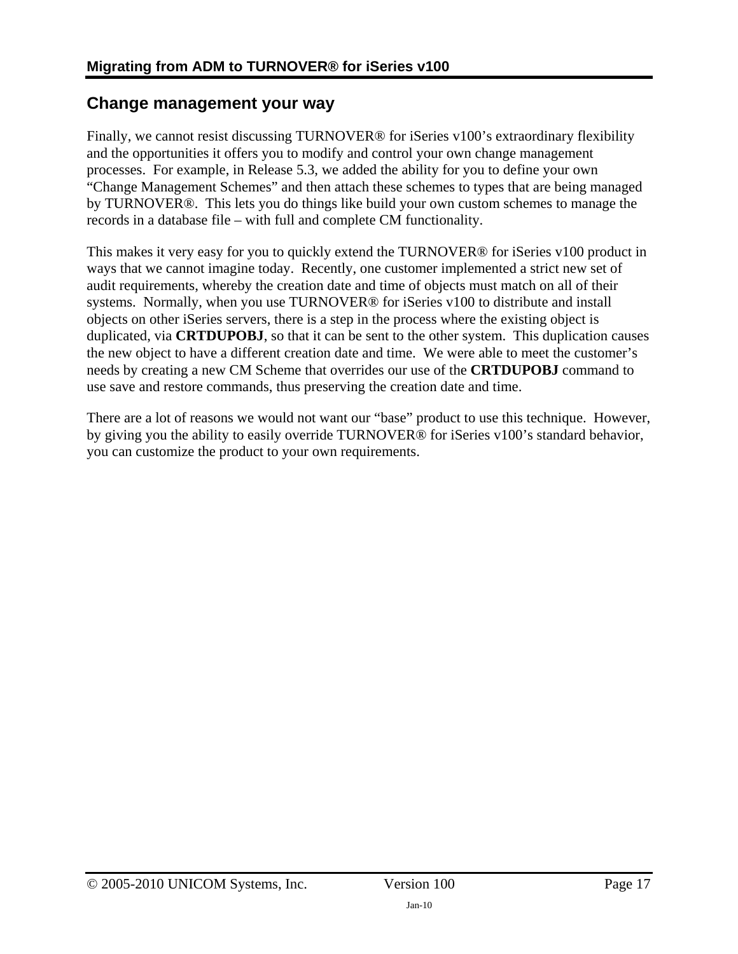# <span id="page-16-1"></span><span id="page-16-0"></span>**Change management your way**

Finally, we cannot resist discussing TURNOVER® for iSeries v100's extraordinary flexibility and the opportunities it offers you to modify and control your own change management processes. For example, in Release 5.3, we added the ability for you to define your own "Change Management Schemes" and then attach these schemes to types that are being managed by TURNOVER®. This lets you do things like build your own custom schemes to manage the records in a database file – with full and complete CM functionality.

This makes it very easy for you to quickly extend the TURNOVER® for iSeries v100 product in ways that we cannot imagine today. Recently, one customer implemented a strict new set of audit requirements, whereby the creation date and time of objects must match on all of their systems. Normally, when you use TURNOVER® for iSeries v100 to distribute and install objects on other iSeries servers, there is a step in the process where the existing object is duplicated, via **CRTDUPOBJ**, so that it can be sent to the other system. This duplication causes the new object to have a different creation date and time. We were able to meet the customer's needs by creating a new CM Scheme that overrides our use of the **CRTDUPOBJ** command to use save and restore commands, thus preserving the creation date and time.

There are a lot of reasons we would not want our "base" product to use this technique. However, by giving you the ability to easily override TURNOVER® for iSeries v100's standard behavior, you can customize the product to your own requirements.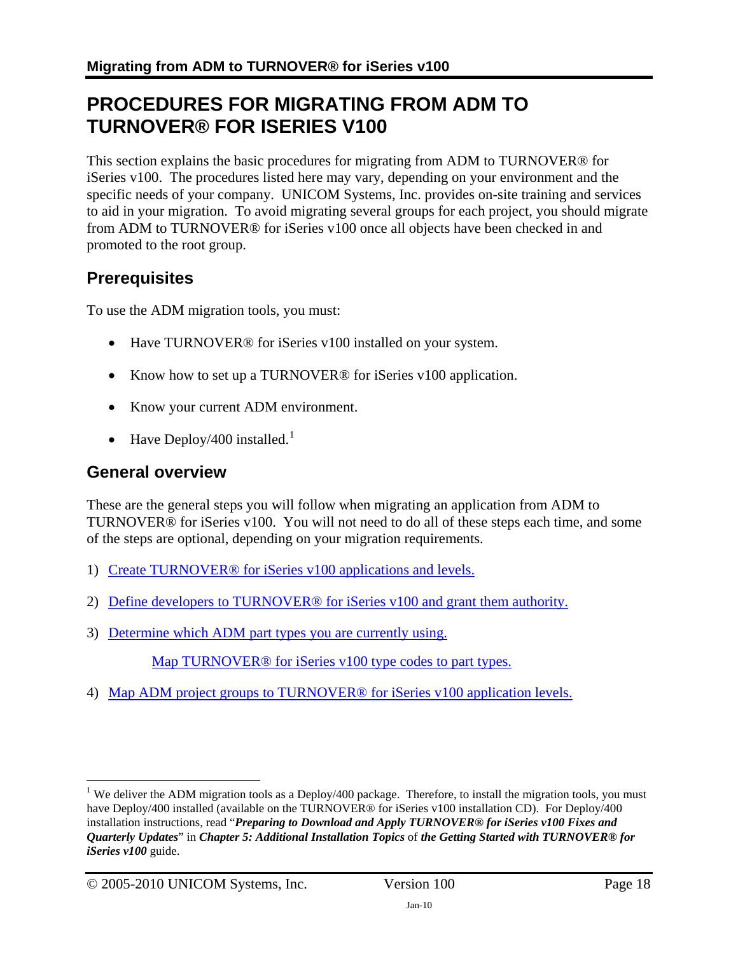# <span id="page-17-1"></span><span id="page-17-0"></span>**PROCEDURES FOR MIGRATING FROM ADM TO TURNOVER® FOR ISERIES V100**

This section explains the basic procedures for migrating from ADM to TURNOVER® for iSeries v100. The procedures listed here may vary, depending on your environment and the specific needs of your company. UNICOM Systems, Inc. provides on-site training and services to aid in your migration. To avoid migrating several groups for each project, you should migrate from ADM to TURNOVER® for iSeries v100 once all objects have been checked in and promoted to the root group.

# <span id="page-17-2"></span>**Prerequisites**

To use the ADM migration tools, you must:

- Have TURNOVER<sup>®</sup> for iSeries v100 installed on your system.
- Know how to set up a TURNOVER<sup>®</sup> for iSeries v100 application.
- Know your current ADM environment.
- Have Deploy/400 installed.<sup>[1](#page-17-4)</sup>

# <span id="page-17-3"></span>**General overview**

These are the general steps you will follow when migrating an application from ADM to TURNOVER® for iSeries v100. You will not need to do all of these steps each time, and some of the steps are optional, depending on your migration requirements.

- 1) [Create TURNOVER® for iSeries v100 applications and levels.](#page-18-0)
- 2) [Define developers to TURNOVER® for iSeries v100 and grant them authority.](#page-20-0)
- <span id="page-17-5"></span>3) [Determine which ADM part types you are currently using.](#page-20-0)

Map TURNOVER<sup>®</sup> for iSeries v100 type codes to part types.

4) [Map ADM project groups to TURNOVER® for iSeries v100 application levels.](#page-21-0)

1

<span id="page-17-4"></span><sup>&</sup>lt;sup>1</sup> We deliver the ADM migration tools as a Deploy/400 package. Therefore, to install the migration tools, you must have Deploy/400 installed (available on the TURNOVER® for iSeries v100 installation CD). For Deploy/400 installation instructions, read "*Preparing to Download and Apply TURNOVER® for iSeries v100 Fixes and Quarterly Updates*" in *Chapter 5: Additional Installation Topics* of *the Getting Started with TURNOVER® for iSeries v100* guide.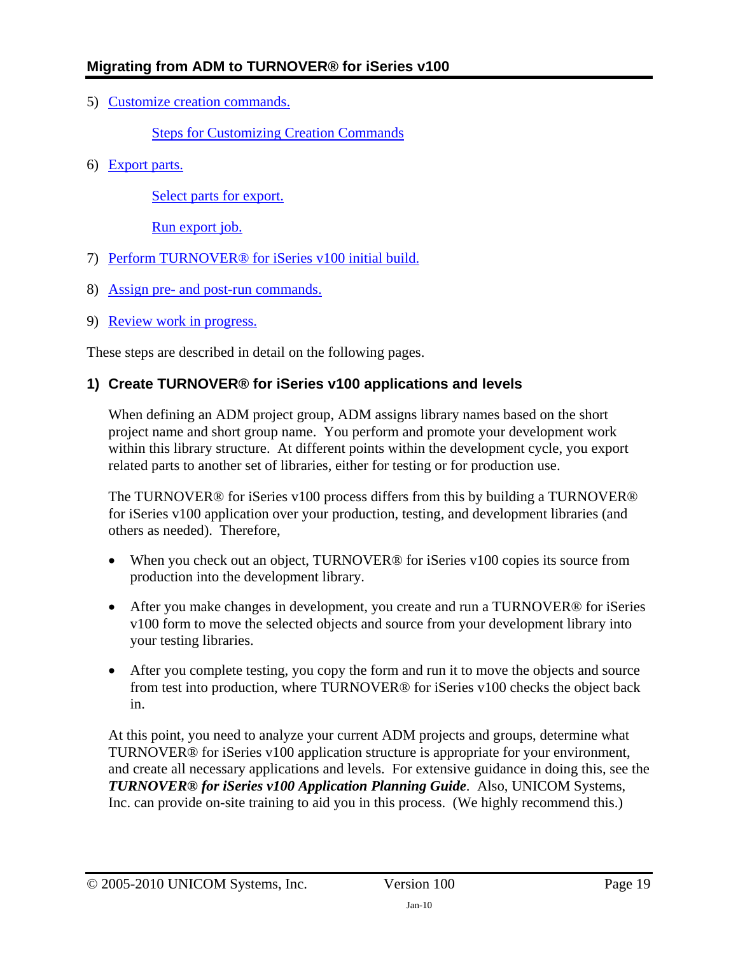<span id="page-18-1"></span><span id="page-18-0"></span>5) [Customize creation commands.](#page-22-0)

#### [Steps for Customizing Creation Commands](#page-23-0)

<span id="page-18-2"></span>6) [Export parts.](#page-24-0)

[Select parts for export.](#page-26-0)

[Run export job.](#page-26-0)

- 7) [Perform TURNOVER® for iSeries v100 initial build.](#page-27-0)
- 8) [Assign pre- and post-run commands.](#page-27-0)
- 9) [Review work in progress.](#page-28-0)

These steps are described in detail on the following pages.

### **1) Create TURNOVER® for iSeries v100 applications and levels**

When defining an ADM project group, ADM assigns library names based on the short project name and short group name. You perform and promote your development work within this library structure. At different points within the development cycle, you export related parts to another set of libraries, either for testing or for production use.

The TURNOVER® for iSeries v100 process differs from this by building a TURNOVER® for iSeries v100 application over your production, testing, and development libraries (and others as needed). Therefore,

- When you check out an object, TURNOVER<sup>®</sup> for iSeries v100 copies its source from production into the development library.
- After you make changes in development, you create and run a TURNOVER<sup>®</sup> for iSeries v100 form to move the selected objects and source from your development library into your testing libraries.
- After you complete testing, you copy the form and run it to move the objects and source from test into production, where TURNOVER® for iSeries v100 checks the object back in.

At this point, you need to analyze your current ADM projects and groups, determine what TURNOVER® for iSeries v100 application structure is appropriate for your environment, and create all necessary applications and levels. For extensive guidance in doing this, see the *TURNOVER® for iSeries v100 Application Planning Guide*. Also, UNICOM Systems, Inc. can provide on-site training to aid you in this process. (We highly recommend this.)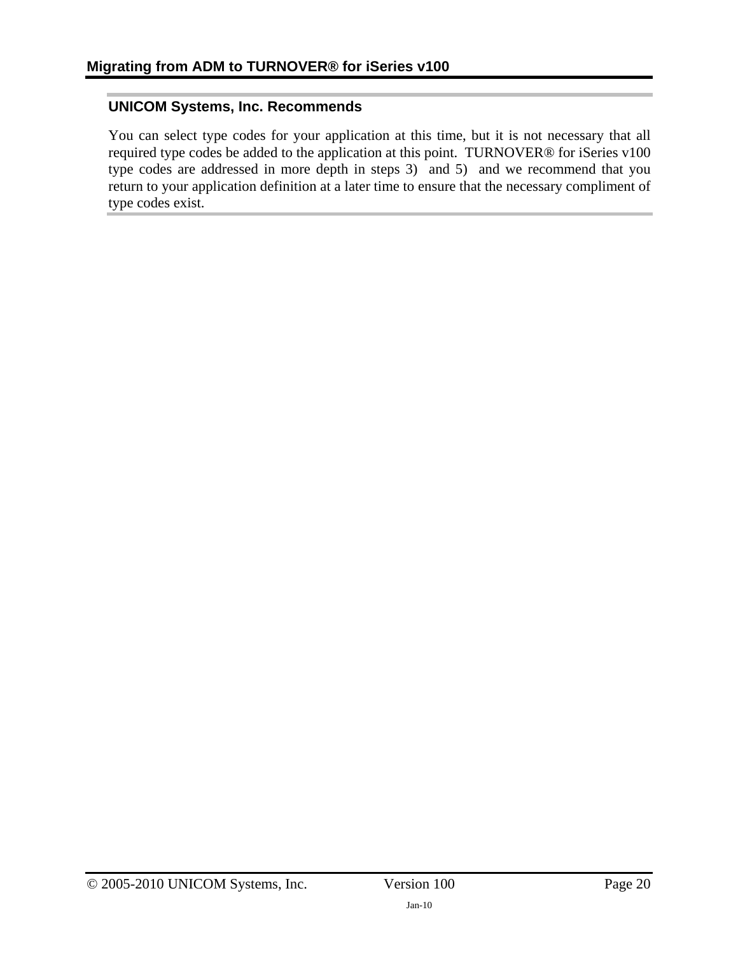#### **UNICOM Systems, Inc. Recommends**

You can select type codes for your application at this time, but it is not necessary that all required type codes be added to the application at this point. TURNOVER® for iSeries v100 type codes are addressed in more depth in steps [3\) a](#page-17-5)nd [5\)](#page-18-1) and we recommend that you return to your application definition at a later time to ensure that the necessary compliment of type codes exist.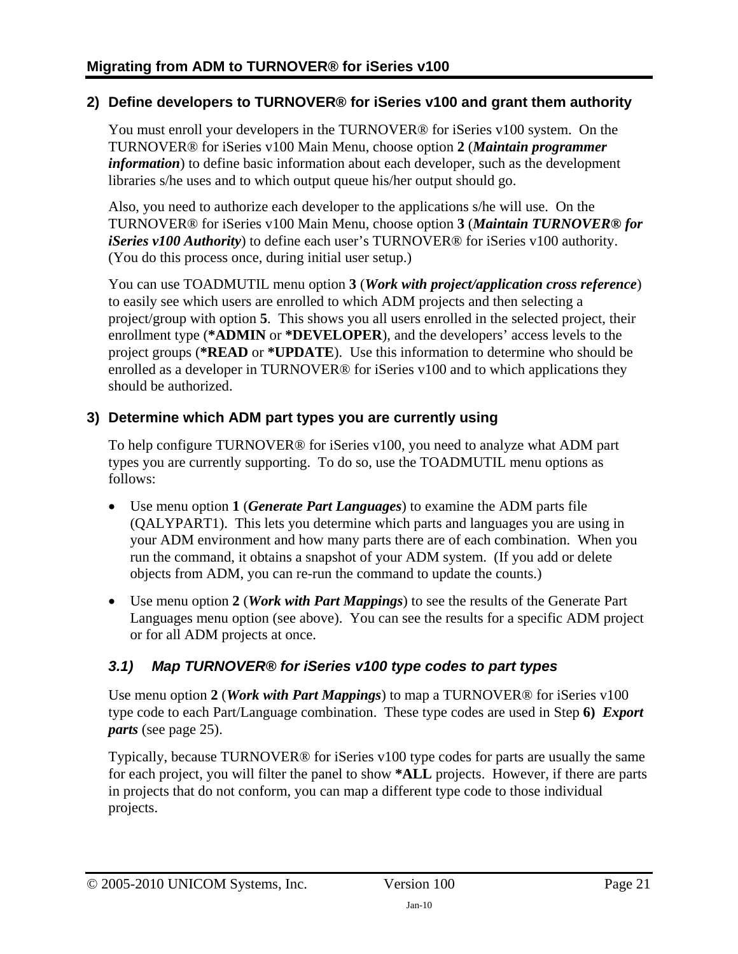### <span id="page-20-0"></span>**2) Define developers to TURNOVER® for iSeries v100 and grant them authority**

You must enroll your developers in the TURNOVER® for iSeries v100 system. On the TURNOVER® for iSeries v100 Main Menu, choose option **2** (*Maintain programmer information*) to define basic information about each developer, such as the development libraries s/he uses and to which output queue his/her output should go.

Also, you need to authorize each developer to the applications s/he will use. On the TURNOVER® for iSeries v100 Main Menu, choose option **3** (*Maintain TURNOVER® for iSeries v100 Authority*) to define each user's TURNOVER® for iSeries v100 authority. (You do this process once, during initial user setup.)

You can use TOADMUTIL menu option **3** (*Work with project/application cross reference*) to easily see which users are enrolled to which ADM projects and then selecting a project/group with option **5**. This shows you all users enrolled in the selected project, their enrollment type (**\*ADMIN** or **\*DEVELOPER**), and the developers' access levels to the project groups (**\*READ** or **\*UPDATE**). Use this information to determine who should be enrolled as a developer in TURNOVER® for iSeries v100 and to which applications they should be authorized.

### **3) Determine which ADM part types you are currently using**

To help configure TURNOVER® for iSeries v100, you need to analyze what ADM part types you are currently supporting. To do so, use the TOADMUTIL menu options as follows:

- Use menu option **1** (*Generate Part Languages*) to examine the ADM parts file (QALYPART1). This lets you determine which parts and languages you are using in your ADM environment and how many parts there are of each combination. When you run the command, it obtains a snapshot of your ADM system. (If you add or delete objects from ADM, you can re-run the command to update the counts.)
- Use menu option **2** (*Work with Part Mappings*) to see the results of the Generate Part Languages menu option (see above). You can see the results for a specific ADM project or for all ADM projects at once.

## *3.1) Map TURNOVER® for iSeries v100 type codes to part types*

Use menu option **2** (*Work with Part Mappings*) to map a TURNOVER® for iSeries v100 type code to each Part/Language combination. These type codes are used in Step **[6\)](#page-18-2)** *[Export](#page-24-1)  [parts](#page-24-1)* (see page [25\)](#page-24-1).

Typically, because TURNOVER® for iSeries v100 type codes for parts are usually the same for each project, you will filter the panel to show **\*ALL** projects. However, if there are parts in projects that do not conform, you can map a different type code to those individual projects.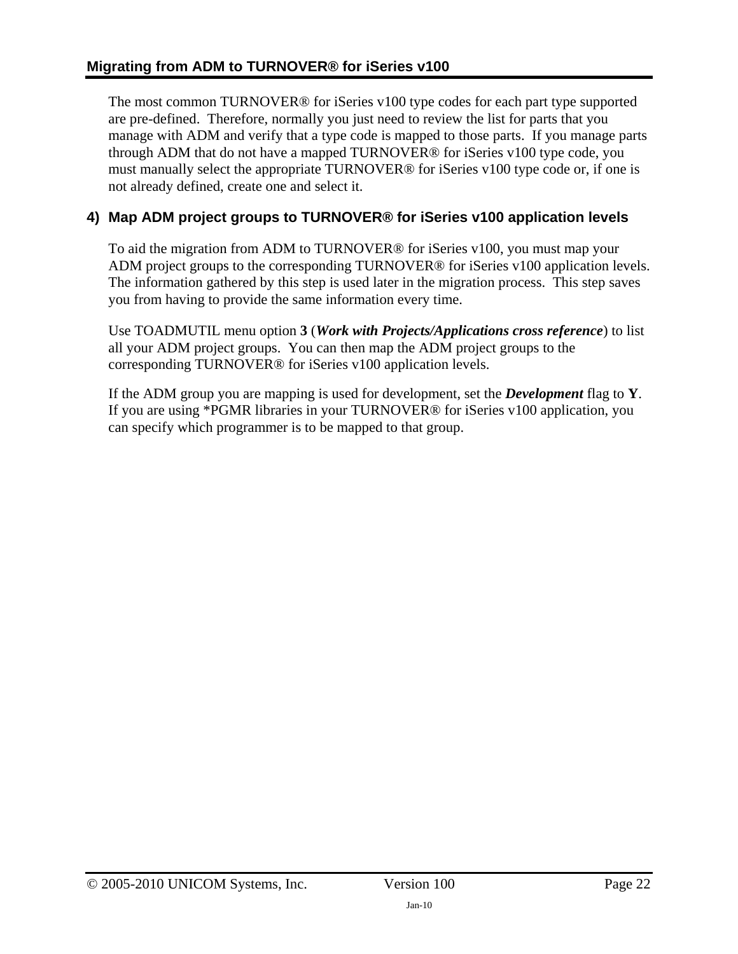<span id="page-21-0"></span>The most common TURNOVER® for iSeries v100 type codes for each part type supported are pre-defined. Therefore, normally you just need to review the list for parts that you manage with ADM and verify that a type code is mapped to those parts. If you manage parts through ADM that do not have a mapped TURNOVER® for iSeries v100 type code, you must manually select the appropriate TURNOVER® for iSeries v100 type code or, if one is not already defined, create one and select it.

# **4) Map ADM project groups to TURNOVER® for iSeries v100 application levels**

To aid the migration from ADM to TURNOVER® for iSeries v100, you must map your ADM project groups to the corresponding TURNOVER® for iSeries v100 application levels. The information gathered by this step is used later in the migration process. This step saves you from having to provide the same information every time.

Use TOADMUTIL menu option **3** (*Work with Projects/Applications cross reference*) to list all your ADM project groups. You can then map the ADM project groups to the corresponding TURNOVER® for iSeries v100 application levels.

If the ADM group you are mapping is used for development, set the *Development* flag to **Y**. If you are using \*PGMR libraries in your TURNOVER® for iSeries v100 application, you can specify which programmer is to be mapped to that group.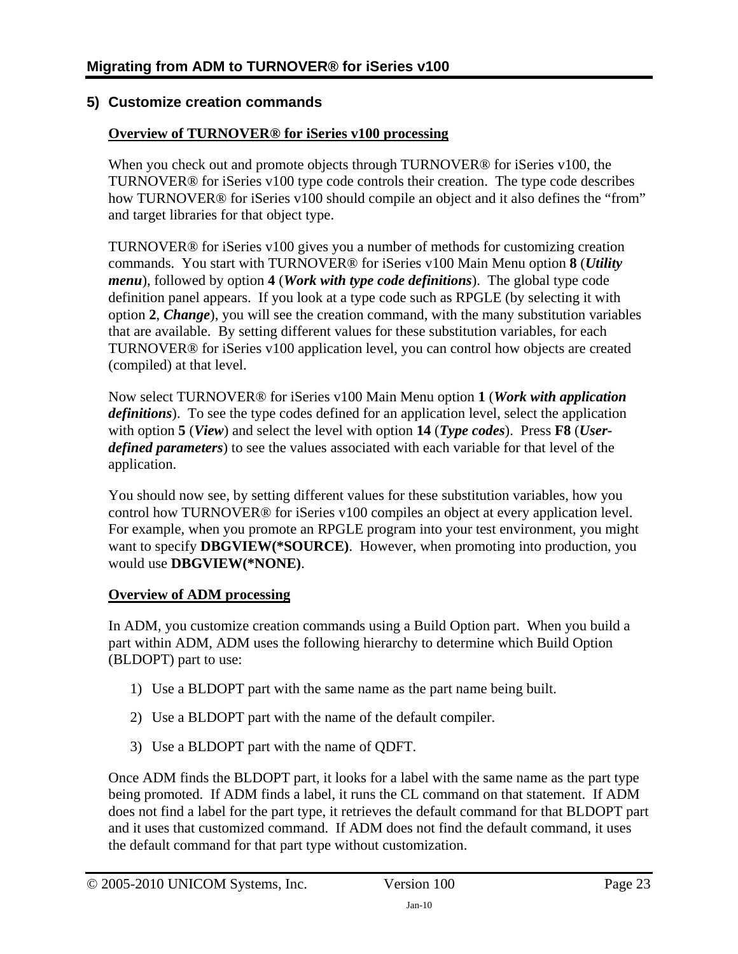### <span id="page-22-0"></span>**5) Customize creation commands**

#### **Overview of TURNOVER® for iSeries v100 processing**

When you check out and promote objects through TURNOVER<sup>®</sup> for iSeries v100, the TURNOVER® for iSeries v100 type code controls their creation. The type code describes how TURNOVER® for iSeries v100 should compile an object and it also defines the "from" and target libraries for that object type.

TURNOVER® for iSeries v100 gives you a number of methods for customizing creation commands. You start with TURNOVER® for iSeries v100 Main Menu option **8** (*Utility menu*), followed by option **4** (*Work with type code definitions*). The global type code definition panel appears. If you look at a type code such as RPGLE (by selecting it with option **2**, *Change*), you will see the creation command, with the many substitution variables that are available. By setting different values for these substitution variables, for each TURNOVER® for iSeries v100 application level, you can control how objects are created (compiled) at that level.

Now select TURNOVER® for iSeries v100 Main Menu option **1** (*Work with application definitions*). To see the type codes defined for an application level, select the application with option **5** (*View*) and select the level with option **14** (*Type codes*). Press **F8** (*Userdefined parameters*) to see the values associated with each variable for that level of the application.

You should now see, by setting different values for these substitution variables, how you control how TURNOVER® for iSeries v100 compiles an object at every application level. For example, when you promote an RPGLE program into your test environment, you might want to specify **DBGVIEW(\*SOURCE)**. However, when promoting into production, you would use **DBGVIEW(\*NONE)**.

#### **Overview of ADM processing**

In ADM, you customize creation commands using a Build Option part. When you build a part within ADM, ADM uses the following hierarchy to determine which Build Option (BLDOPT) part to use:

- 1) Use a BLDOPT part with the same name as the part name being built.
- 2) Use a BLDOPT part with the name of the default compiler.
- 3) Use a BLDOPT part with the name of QDFT.

Once ADM finds the BLDOPT part, it looks for a label with the same name as the part type being promoted. If ADM finds a label, it runs the CL command on that statement. If ADM does not find a label for the part type, it retrieves the default command for that BLDOPT part and it uses that customized command. If ADM does not find the default command, it uses the default command for that part type without customization.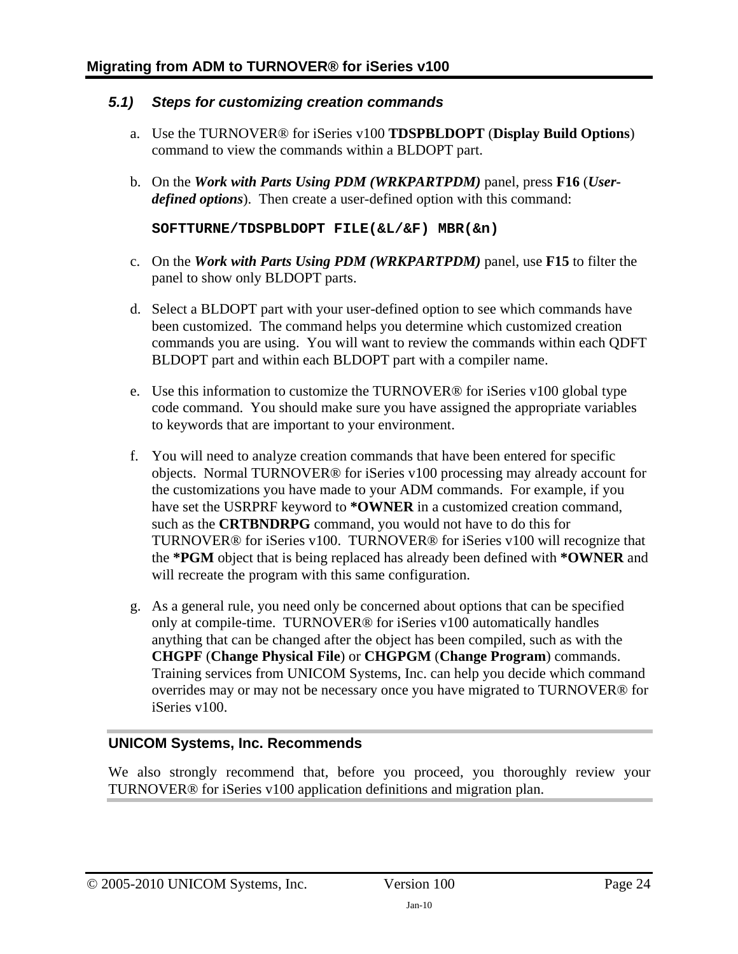#### <span id="page-23-0"></span>*5.1) Steps for customizing creation commands*

- a. Use the TURNOVER® for iSeries v100 **TDSPBLDOPT** (**Display Build Options**) command to view the commands within a BLDOPT part.
- b. On the *Work with Parts Using PDM (WRKPARTPDM)* panel, press **F16** (*Userdefined options*). Then create a user-defined option with this command:

**SOFTTURNE/TDSPBLDOPT FILE(&L/&F) MBR(&n)** 

- c. On the *Work with Parts Using PDM (WRKPARTPDM)* panel, use **F15** to filter the panel to show only BLDOPT parts.
- d. Select a BLDOPT part with your user-defined option to see which commands have been customized. The command helps you determine which customized creation commands you are using. You will want to review the commands within each QDFT BLDOPT part and within each BLDOPT part with a compiler name.
- e. Use this information to customize the TURNOVER® for iSeries v100 global type code command. You should make sure you have assigned the appropriate variables to keywords that are important to your environment.
- f. You will need to analyze creation commands that have been entered for specific objects. Normal TURNOVER® for iSeries v100 processing may already account for the customizations you have made to your ADM commands. For example, if you have set the USRPRF keyword to **\*OWNER** in a customized creation command, such as the **CRTBNDRPG** command, you would not have to do this for TURNOVER® for iSeries v100. TURNOVER® for iSeries v100 will recognize that the **\*PGM** object that is being replaced has already been defined with **\*OWNER** and will recreate the program with this same configuration.
- g. As a general rule, you need only be concerned about options that can be specified only at compile-time. TURNOVER® for iSeries v100 automatically handles anything that can be changed after the object has been compiled, such as with the **CHGPF** (**Change Physical File**) or **CHGPGM** (**Change Program**) commands. Training services from UNICOM Systems, Inc. can help you decide which command overrides may or may not be necessary once you have migrated to TURNOVER® for iSeries v100.

### **UNICOM Systems, Inc. Recommends**

We also strongly recommend that, before you proceed, you thoroughly review your TURNOVER® for iSeries v100 application definitions and migration plan.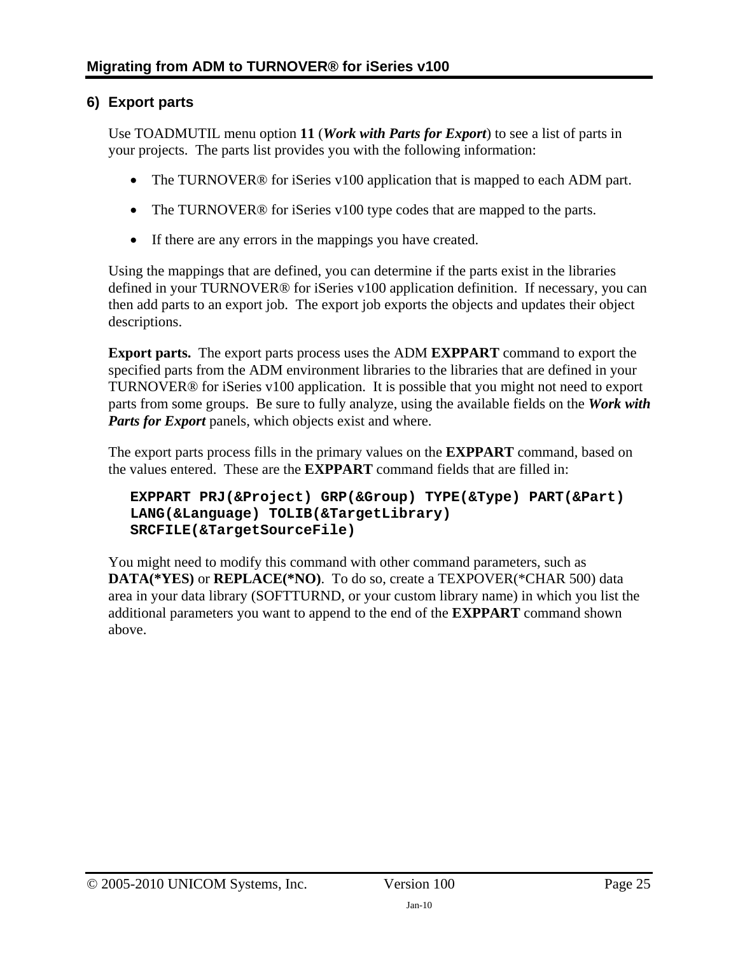## <span id="page-24-1"></span><span id="page-24-0"></span>**6) Export parts**

Use TOADMUTIL menu option **11** (*Work with Parts for Export*) to see a list of parts in your projects. The parts list provides you with the following information:

- The TURNOVER<sup>®</sup> for iSeries v100 application that is mapped to each ADM part.
- The TURNOVER<sup>®</sup> for iSeries v100 type codes that are mapped to the parts.
- If there are any errors in the mappings you have created.

Using the mappings that are defined, you can determine if the parts exist in the libraries defined in your TURNOVER® for iSeries v100 application definition. If necessary, you can then add parts to an export job. The export job exports the objects and updates their object descriptions.

**Export parts.** The export parts process uses the ADM **EXPPART** command to export the specified parts from the ADM environment libraries to the libraries that are defined in your TURNOVER® for iSeries v100 application. It is possible that you might not need to export parts from some groups. Be sure to fully analyze, using the available fields on the *Work with Parts for Export* panels, which objects exist and where.

The export parts process fills in the primary values on the **EXPPART** command, based on the values entered. These are the **EXPPART** command fields that are filled in:

#### **EXPPART PRJ(&Project) GRP(&Group) TYPE(&Type) PART(&Part) LANG(&Language) TOLIB(&TargetLibrary) SRCFILE(&TargetSourceFile)**

You might need to modify this command with other command parameters, such as **DATA(\*YES)** or **REPLACE(\*NO)**. To do so, create a TEXPOVER(\*CHAR 500) data area in your data library (SOFTTURND, or your custom library name) in which you list the additional parameters you want to append to the end of the **EXPPART** command shown above.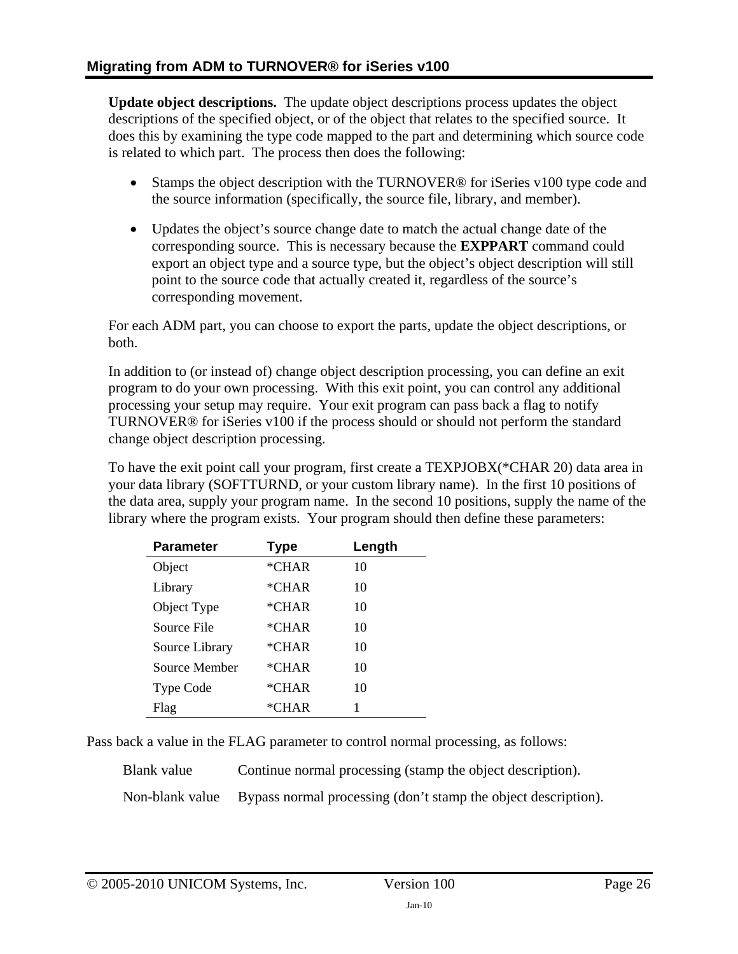**Update object descriptions.** The update object descriptions process updates the object descriptions of the specified object, or of the object that relates to the specified source. It does this by examining the type code mapped to the part and determining which source code is related to which part. The process then does the following:

- Stamps the object description with the TURNOVER® for iSeries v100 type code and the source information (specifically, the source file, library, and member).
- Updates the object's source change date to match the actual change date of the corresponding source. This is necessary because the **EXPPART** command could export an object type and a source type, but the object's object description will still point to the source code that actually created it, regardless of the source's corresponding movement.

For each ADM part, you can choose to export the parts, update the object descriptions, or both.

In addition to (or instead of) change object description processing, you can define an exit program to do your own processing. With this exit point, you can control any additional processing your setup may require. Your exit program can pass back a flag to notify TURNOVER® for iSeries v100 if the process should or should not perform the standard change object description processing.

To have the exit point call your program, first create a TEXPJOBX(\*CHAR 20) data area in your data library (SOFTTURND, or your custom library name). In the first 10 positions of the data area, supply your program name. In the second 10 positions, supply the name of the library where the program exists. Your program should then define these parameters:

| <b>Parameter</b> | <b>Type</b> | Length |
|------------------|-------------|--------|
| Object           | $*CHAR$     | 10     |
| Library          | $*CHAR$     | 10     |
| Object Type      | $*CHAR$     | 10     |
| Source File      | $*CHAR$     | 10     |
| Source Library   | $*CHAR$     | 10     |
| Source Member    | $*CHAR$     | 10     |
| <b>Type Code</b> | *CHAR       | 10     |
| Flag             | *CHAR       | 1      |

Pass back a value in the FLAG parameter to control normal processing, as follows:

Blank value Continue normal processing (stamp the object description).

Non-blank value Bypass normal processing (don't stamp the object description).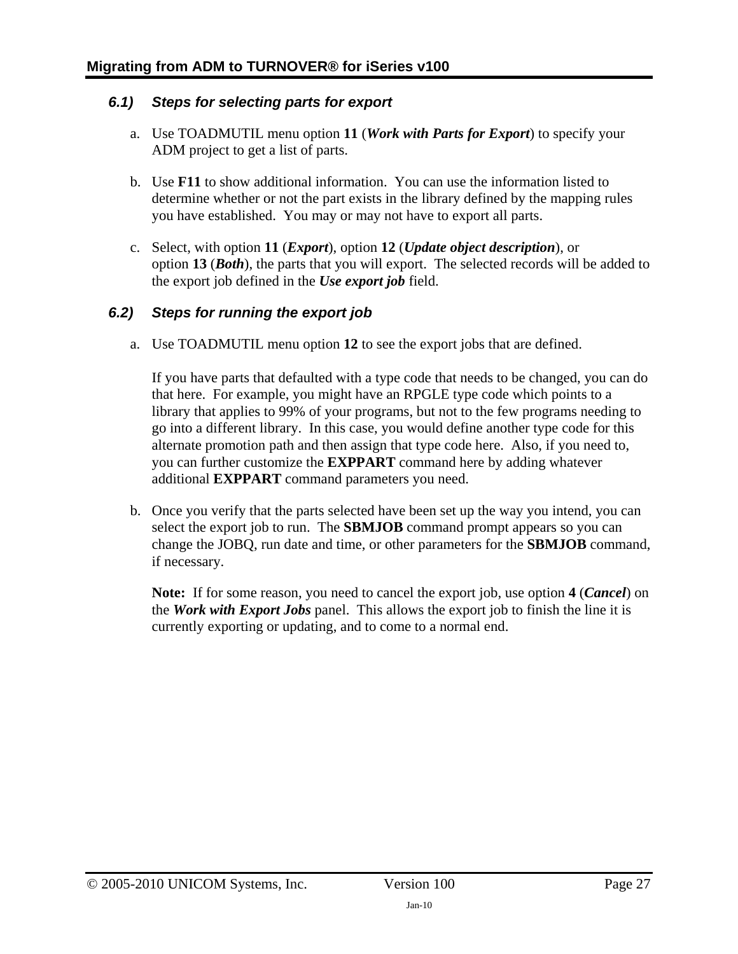### <span id="page-26-0"></span>*6.1) Steps for selecting parts for export*

- a. Use TOADMUTIL menu option **11** (*Work with Parts for Export*) to specify your ADM project to get a list of parts.
- b. Use **F11** to show additional information. You can use the information listed to determine whether or not the part exists in the library defined by the mapping rules you have established. You may or may not have to export all parts.
- c. Select, with option **11** (*Export*), option **12** (*Update object description*), or option **13** (*Both*), the parts that you will export. The selected records will be added to the export job defined in the *Use export job* field.

### *6.2) Steps for running the export job*

a. Use TOADMUTIL menu option **12** to see the export jobs that are defined.

If you have parts that defaulted with a type code that needs to be changed, you can do that here. For example, you might have an RPGLE type code which points to a library that applies to 99% of your programs, but not to the few programs needing to go into a different library. In this case, you would define another type code for this alternate promotion path and then assign that type code here. Also, if you need to, you can further customize the **EXPPART** command here by adding whatever additional **EXPPART** command parameters you need.

b. Once you verify that the parts selected have been set up the way you intend, you can select the export job to run. The **SBMJOB** command prompt appears so you can change the JOBQ, run date and time, or other parameters for the **SBMJOB** command, if necessary.

**Note:** If for some reason, you need to cancel the export job, use option **4** (*Cancel*) on the *Work with Export Jobs* panel. This allows the export job to finish the line it is currently exporting or updating, and to come to a normal end.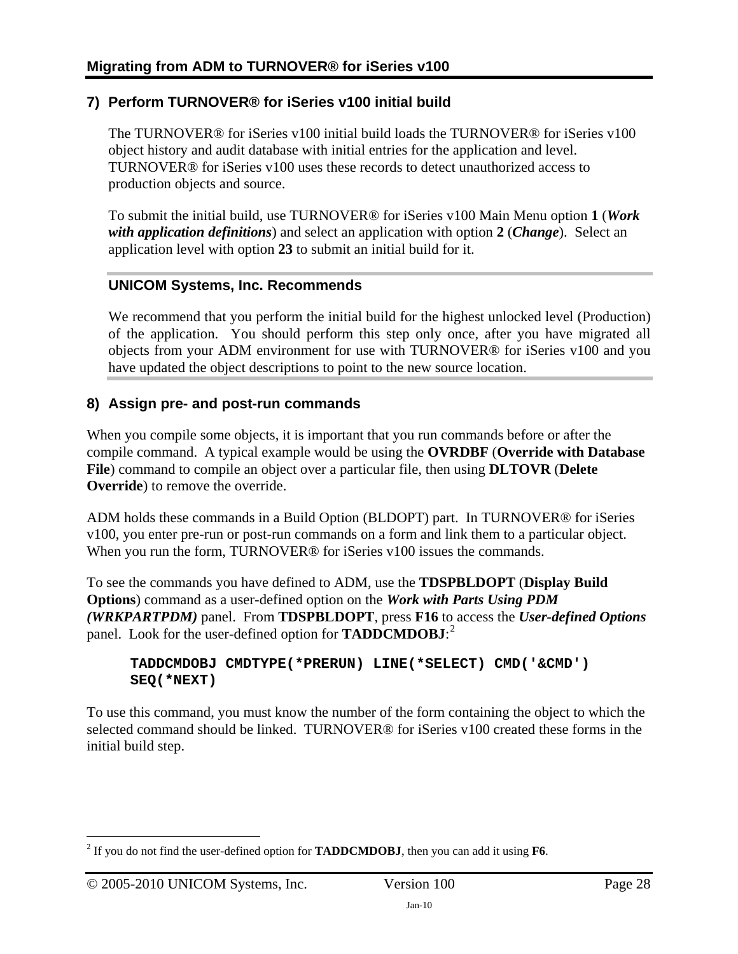## <span id="page-27-0"></span>**7) Perform TURNOVER® for iSeries v100 initial build**

The TURNOVER® for iSeries v100 initial build loads the TURNOVER® for iSeries v100 object history and audit database with initial entries for the application and level. TURNOVER® for iSeries v100 uses these records to detect unauthorized access to production objects and source.

To submit the initial build, use TURNOVER® for iSeries v100 Main Menu option **1** (*Work with application definitions*) and select an application with option **2** (*Change*). Select an application level with option **23** to submit an initial build for it.

### **UNICOM Systems, Inc. Recommends**

We recommend that you perform the initial build for the highest unlocked level (Production) of the application. You should perform this step only once, after you have migrated all objects from your ADM environment for use with TURNOVER® for iSeries v100 and you have updated the object descriptions to point to the new source location.

### **8) Assign pre- and post-run commands**

When you compile some objects, it is important that you run commands before or after the compile command. A typical example would be using the **OVRDBF** (**Override with Database File**) command to compile an object over a particular file, then using **DLTOVR** (**Delete Override**) to remove the override.

ADM holds these commands in a Build Option (BLDOPT) part. In TURNOVER® for iSeries v100, you enter pre-run or post-run commands on a form and link them to a particular object. When you run the form, TURNOVER<sup>®</sup> for iSeries v100 issues the commands.

To see the commands you have defined to ADM, use the **TDSPBLDOPT** (**Display Build Options**) command as a user-defined option on the *Work with Parts Using PDM (WRKPARTPDM)* panel. From **TDSPBLDOPT**, press **F16** to access the *User-defined Options* panel. Look for the user-defined option for **TADDCMDOBJ**: [2](#page-27-1)

#### **TADDCMDOBJ CMDTYPE(\*PRERUN) LINE(\*SELECT) CMD('&CMD') SEQ(\*NEXT)**

To use this command, you must know the number of the form containing the object to which the selected command should be linked. TURNOVER® for iSeries v100 created these forms in the initial build step.

<span id="page-27-1"></span> 2 If you do not find the user-defined option for **TADDCMDOBJ**, then you can add it using **F6**.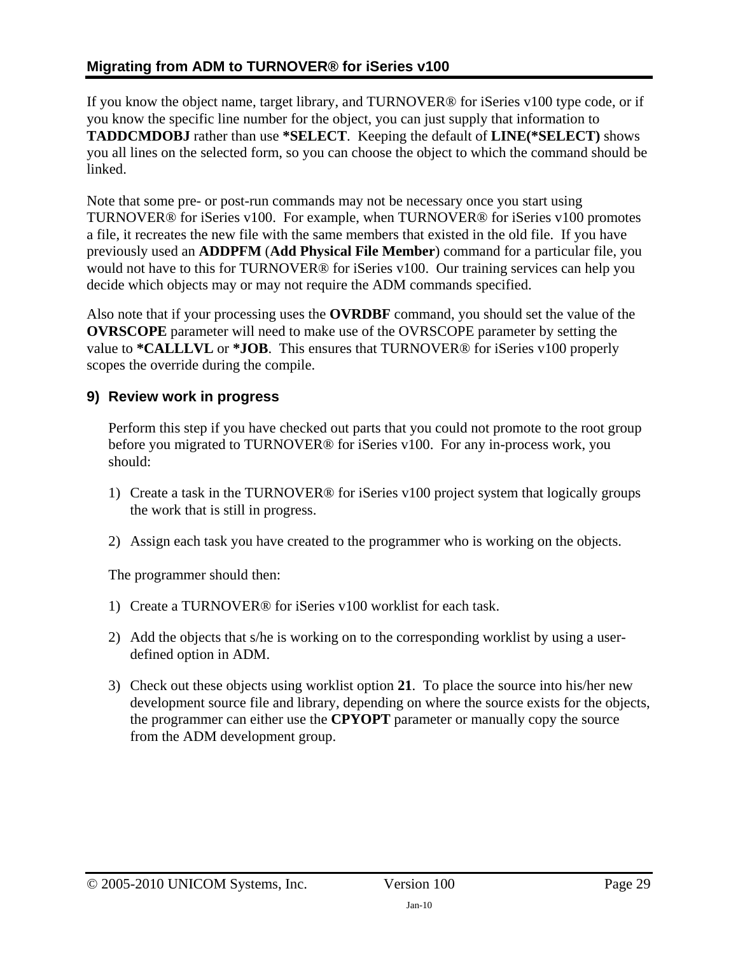### <span id="page-28-0"></span>**Migrating from ADM to TURNOVER® for iSeries v100**

If you know the object name, target library, and TURNOVER® for iSeries v100 type code, or if you know the specific line number for the object, you can just supply that information to **TADDCMDOBJ** rather than use **\*SELECT**. Keeping the default of **LINE(\*SELECT)** shows you all lines on the selected form, so you can choose the object to which the command should be linked.

Note that some pre- or post-run commands may not be necessary once you start using TURNOVER® for iSeries v100. For example, when TURNOVER® for iSeries v100 promotes a file, it recreates the new file with the same members that existed in the old file. If you have previously used an **ADDPFM** (**Add Physical File Member**) command for a particular file, you would not have to this for TURNOVER® for iSeries v100. Our training services can help you decide which objects may or may not require the ADM commands specified.

Also note that if your processing uses the **OVRDBF** command, you should set the value of the **OVRSCOPE** parameter will need to make use of the OVRSCOPE parameter by setting the value to **\*CALLLVL** or **\*JOB**. This ensures that TURNOVER® for iSeries v100 properly scopes the override during the compile.

## **9) Review work in progress**

Perform this step if you have checked out parts that you could not promote to the root group before you migrated to TURNOVER® for iSeries v100. For any in-process work, you should:

- 1) Create a task in the TURNOVER® for iSeries v100 project system that logically groups the work that is still in progress.
- 2) Assign each task you have created to the programmer who is working on the objects.

The programmer should then:

- 1) Create a TURNOVER® for iSeries v100 worklist for each task.
- 2) Add the objects that s/he is working on to the corresponding worklist by using a userdefined option in ADM.
- 3) Check out these objects using worklist option **21**. To place the source into his/her new development source file and library, depending on where the source exists for the objects, the programmer can either use the **CPYOPT** parameter or manually copy the source from the ADM development group.